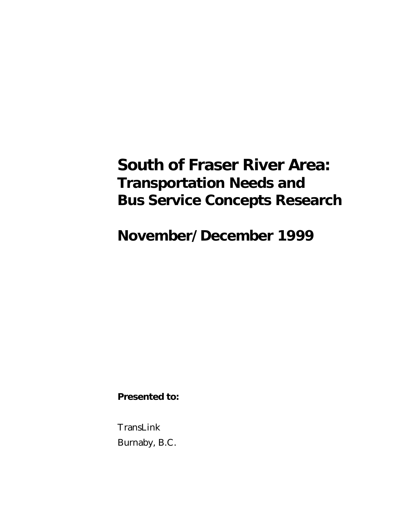# **South of Fraser River Area: Transportation Needs and Bus Service Concepts Research**

**November/December 1999**

**Presented to:**

TransLink Burnaby, B.C.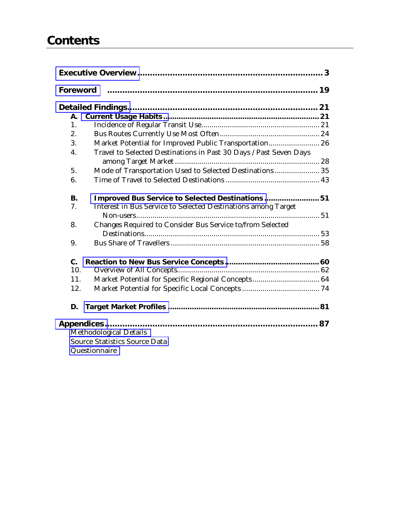## **Contents**

|           | Foreword                                                          |  |
|-----------|-------------------------------------------------------------------|--|
|           |                                                                   |  |
| Α.        |                                                                   |  |
| 1.        |                                                                   |  |
| 2.        |                                                                   |  |
| 3.        | Market Potential for Improved Public Transportation 26            |  |
| 4.        | Travel to Selected Destinations in Past 30 Days / Past Seven Days |  |
|           |                                                                   |  |
| 5.        | Mode of Transportation Used to Selected Destinations  35          |  |
| 6.        |                                                                   |  |
| <b>B.</b> | Improved Bus Service to Selected Destinations51                   |  |
| 7.        | Interest in Bus Service to Selected Destinations among Target     |  |
|           |                                                                   |  |
| 8.        | Changes Required to Consider Bus Service to/from Selected         |  |
|           |                                                                   |  |
| 9.        |                                                                   |  |
| C.        |                                                                   |  |
| 10.       |                                                                   |  |
| 11.       | Market Potential for Specific Regional Concepts 64                |  |
| 12.       |                                                                   |  |
| D.        |                                                                   |  |
|           | Methodological Details<br><b>Source Statistics Source Data</b>    |  |
|           |                                                                   |  |
|           | Questionnaire                                                     |  |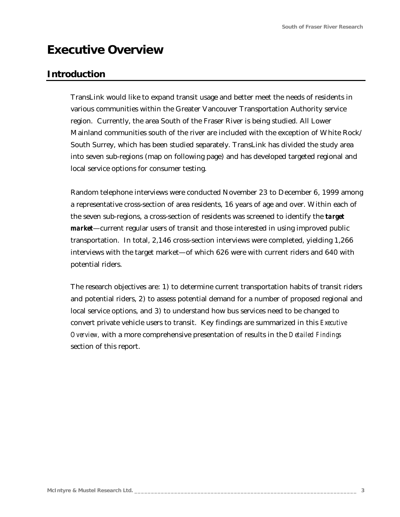## <span id="page-2-0"></span>**Executive Overview**

## **Introduction**

TransLink would like to expand transit usage and better meet the needs of residents in various communities within the Greater Vancouver Transportation Authority service region. Currently, the area South of the Fraser River is being studied. All Lower Mainland communities south of the river are included with the exception of White Rock/ South Surrey, which has been studied separately. TransLink has divided the study area into seven sub-regions (map on following page) and has developed targeted regional and local service options for consumer testing.

Random telephone interviews were conducted November 23 to December 6, 1999 among a representative cross-section of area residents, 16 years of age and over. Within each of the seven sub-regions, a cross-section of residents was screened to identify the *target market*—current regular users of transit and those interested in using improved public transportation. In total, 2,146 cross-section interviews were completed, yielding 1,266 interviews with the target market—of which 626 were with current riders and 640 with potential riders.

The research objectives are: 1) to determine current transportation habits of transit riders and potential riders, 2) to assess potential demand for a number of proposed regional and local service options, and 3) to understand how bus services need to be changed to convert private vehicle users to transit. Key findings are summarized in this *Executive Overview,* with a more comprehensive presentation of results in the *Detailed Findings* section of this report.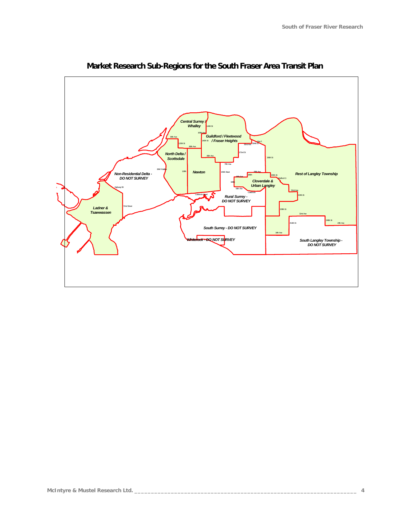

**Market Research Sub-Regions for the South Fraser Area Transit Plan**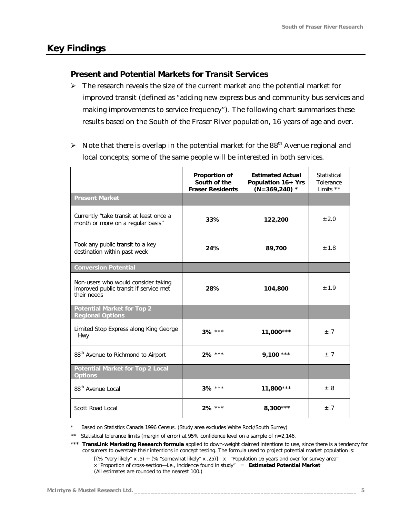## **Key Findings**

### *Present and Potential Markets for Transit Services*

- $\triangleright$  The research reveals the size of the current market and the potential market for improved transit (defined as "adding new express bus and community bus services and making improvements to service frequency"). The following chart summarises these results based on the South of the Fraser River population, 16 years of age and over.
- $\triangleright$  Note that there is overlap in the potential market for the 88<sup>th</sup> Avenue regional and local concepts; some of the same people will be interested in both services.

|                                                                                              | Proportion of<br>South of the<br><b>Fraser Residents</b> | <b>Estimated Actual</b><br>Population 16+ Yrs<br>$(N=369,240)$ * | Statistical<br>Tolerance<br>Limits ** |
|----------------------------------------------------------------------------------------------|----------------------------------------------------------|------------------------------------------------------------------|---------------------------------------|
| <b>Present Market</b>                                                                        |                                                          |                                                                  |                                       |
| Currently "take transit at least once a<br>month or more on a regular basis"                 | 33%                                                      | 122,200                                                          | ± 2.0                                 |
| Took any public transit to a key<br>destination within past week                             | 24%                                                      | 89,700                                                           | ±1.8                                  |
| <b>Conversion Potential</b>                                                                  |                                                          |                                                                  |                                       |
| Non-users who would consider taking<br>improved public transit if service met<br>their needs | 28%                                                      | 104,800                                                          | ± 1.9                                 |
| <b>Potential Market for Top 2</b><br><b>Regional Options</b>                                 |                                                          |                                                                  |                                       |
| Limited Stop Express along King George<br>Hwy                                                | $3\%$ ***                                                | $11,000***$                                                      | ±.7                                   |
| 88 <sup>th</sup> Avenue to Richmond to Airport                                               | $2\%$ ***                                                | $9,100$ ***                                                      | ±.7                                   |
| <b>Potential Market for Top 2 Local</b><br><b>Options</b>                                    |                                                          |                                                                  |                                       |
| 88 <sup>th</sup> Avenue Local                                                                | $3\%$ ***                                                | $11,800***$                                                      | $\pm .8$                              |
| Scott Road Local                                                                             | 2% ***                                                   | $8,300***$                                                       | ±.7                                   |

*\* Based on Statistics Canada 1996 Census. (Study area excludes White Rock/South Surrey)*

*\*\* Statistical tolerance limits (margin of error) at 95% confidence level on a sample of n=2,146.*

*\*\*\* TransLink Marketing Research formula applied to down-weight claimed intentions to use, since there is a tendency for consumers to overstate their intentions in concept testing. The formula used to project potential market population is:*

 $[(% "very likely" x .5) + (%) "somewhat likely" x .25] x "Population 16 years and over for survey area"$ x "Proportion of cross-section—i.e., incidence found in study" = **Estimated Potential Market** *(All estimates are rounded to the nearest 100.)*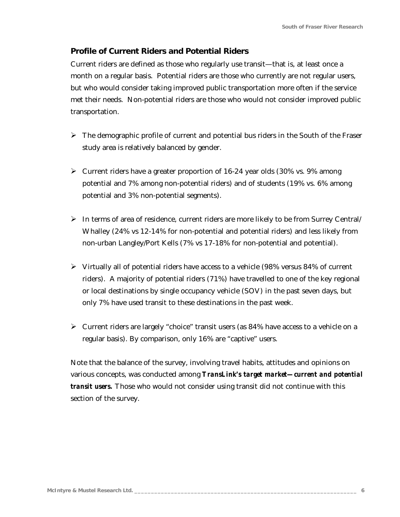## *Profile of Current Riders and Potential Riders*

Current riders are defined as those who regularly use transit—that is, at least once a month on a regular basis. Potential riders are those who currently are not regular users, but who would consider taking improved public transportation more often if the service met their needs. Non-potential riders are those who would not consider improved public transportation.

- $\triangleright$  The demographic profile of current and potential bus riders in the South of the Fraser study area is relatively balanced by gender.
- $\triangleright$  Current riders have a greater proportion of 16-24 year olds (30% vs. 9% among potential and 7% among non-potential riders) and of students (19% vs. 6% among potential and 3% non-potential segments).
- $\triangleright$  In terms of area of residence, current riders are more likely to be from Surrey Central/ Whalley (24% vs 12-14% for non-potential and potential riders) and less likely from non-urban Langley/Port Kells (7% vs 17-18% for non-potential and potential).
- $\triangleright$  Virtually all of potential riders have access to a vehicle (98% versus 84% of current riders). A majority of potential riders (71%) have travelled to one of the key regional or local destinations by single occupancy vehicle (SOV) in the past seven days, but only 7% have used transit to these destinations in the past week.
- $\triangleright$  Current riders are largely "choice" transit users (as 84% have access to a vehicle on a regular basis). By comparison, only 16% are "captive" users.

Note that the balance of the survey, involving travel habits, attitudes and opinions on various concepts, was conducted among *TransLink's target market—current and potential transit users.* Those who would not consider using transit did not continue with this section of the survey.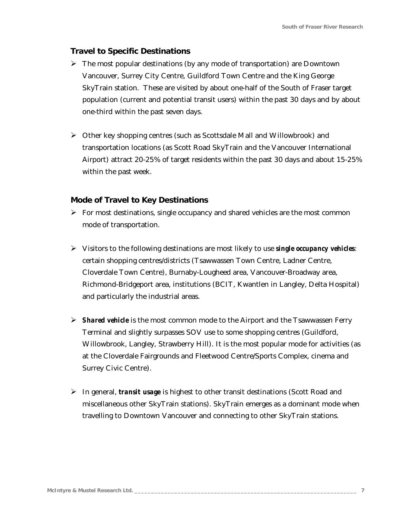#### *Travel to Specific Destinations*

- $\triangleright$  The most popular destinations (by any mode of transportation) are Downtown Vancouver, Surrey City Centre, Guildford Town Centre and the King George SkyTrain station. These are visited by about one-half of the South of Fraser target population (current and potential transit users) within the past 30 days and by about one-third within the past seven days.
- $\triangleright$  Other key shopping centres (such as Scottsdale Mall and Willowbrook) and transportation locations (as Scott Road SkyTrain and the Vancouver International Airport) attract 20-25% of target residents within the past 30 days and about 15-25% within the past week.

#### *Mode of Travel to Key Destinations*

- $\triangleright$  For most destinations, single occupancy and shared vehicles are the most common mode of transportation.
- ÿ Visitors to the following destinations are most likely to use *single occupancy vehicles*: certain shopping centres/districts (Tsawwassen Town Centre, Ladner Centre, Cloverdale Town Centre), Burnaby-Lougheed area, Vancouver-Broadway area, Richmond-Bridgeport area, institutions (BCIT, Kwantlen in Langley, Delta Hospital) and particularly the industrial areas.
- ÿ *Shared vehicle* is the most common mode to the Airport and the Tsawwassen Ferry Terminal and slightly surpasses SOV use to some shopping centres (Guildford, Willowbrook, Langley, Strawberry Hill). It is the most popular mode for activities (as at the Cloverdale Fairgrounds and Fleetwood Centre/Sports Complex, cinema and Surrey Civic Centre).
- ÿ In general, *transit usage* is highest to other transit destinations (Scott Road and miscellaneous other SkyTrain stations). SkyTrain emerges as a dominant mode when travelling to Downtown Vancouver and connecting to other SkyTrain stations.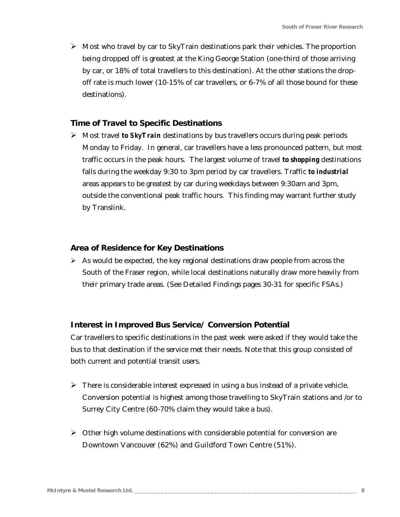$\triangleright$  Most who travel by car to SkyTrain destinations park their vehicles. The proportion being dropped off is greatest at the King George Station (one-third of those arriving by car, or 18% of total travellers to this destination). At the other stations the dropoff rate is much lower (10-15% of car travellers, or 6-7% of all those bound for these destinations).

#### *Time of Travel to Specific Destinations*

ÿ Most travel *to SkyTrain* destinations by bus travellers occurs during peak periods Monday to Friday. In general, car travellers have a less pronounced pattern, but most traffic occurs in the peak hours. The largest volume of travel *to shopping* destinations falls during the weekday 9:30 to 3pm period by car travellers. Traffic *to industrial* areas appears to be greatest by car during weekdays between 9:30am and 3pm, outside the conventional peak traffic hours. This finding may warrant further study by Translink.

#### *Area of Residence for Key Destinations*

 $\triangleright$  As would be expected, the key regional destinations draw people from across the South of the Fraser region, while local destinations naturally draw more heavily from their primary trade areas. (See Detailed Findings pages 30-31 for specific FSAs.)

#### *Interest in Improved Bus Service/ Conversion Potential*

Car travellers to specific destinations in the past week were asked if they would take the bus to that destination if the service met their needs. Note that this group consisted of both current and potential transit users.

- $\triangleright$  There is considerable interest expressed in using a bus instead of a private vehicle. Conversion potential is highest among those travelling to SkyTrain stations and /or to Surrey City Centre (60-70% claim they would take a bus).
- $\triangleright$  Other high volume destinations with considerable potential for conversion are Downtown Vancouver (62%) and Guildford Town Centre (51%).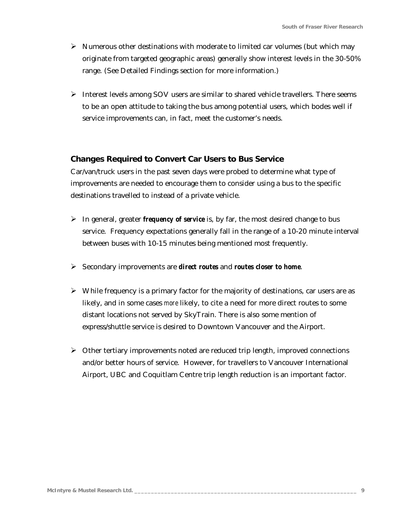- $\triangleright$  Numerous other destinations with moderate to limited car volumes (but which may originate from targeted geographic areas) generally show interest levels in the 30-50% range. (See Detailed Findings section for more information.)
- $\triangleright$  Interest levels among SOV users are similar to shared vehicle travellers. There seems to be an open attitude to taking the bus among potential users, which bodes well if service improvements can, in fact, meet the customer's needs.

### *Changes Required to Convert Car Users to Bus Service*

Car/van/truck users in the past seven days were probed to determine what type of improvements are needed to encourage them to consider using a bus to the specific destinations travelled to instead of a private vehicle.

- $\triangleright$  In general, greater *frequency of service* is, by far, the most desired change to bus service. Frequency expectations generally fall in the range of a 10-20 minute interval between buses with 10-15 minutes being mentioned most frequently.
- ÿ Secondary improvements are *direct routes* and *routes closer to home*.
- $\triangleright$  While frequency is a primary factor for the majority of destinations, car users are as likely, and in some cases *more* likely, to cite a need for more direct routes to some distant locations not served by SkyTrain. There is also some mention of express/shuttle service is desired to Downtown Vancouver and the Airport.
- $\triangleright$  Other tertiary improvements noted are reduced trip length, improved connections and/or better hours of service. However, for travellers to Vancouver International Airport, UBC and Coquitlam Centre trip length reduction is an important factor.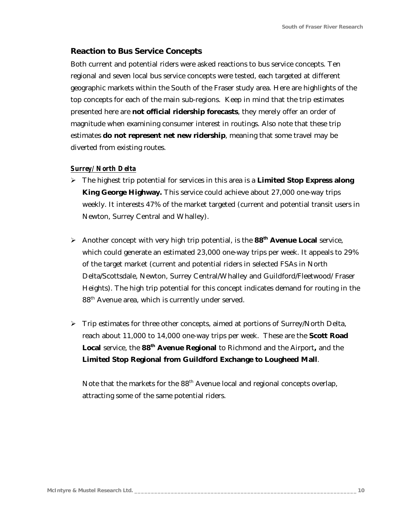#### *Reaction to Bus Service Concepts*

Both current and potential riders were asked reactions to bus service concepts. Ten regional and seven local bus service concepts were tested, each targeted at different geographic markets within the South of the Fraser study area. Here are highlights of the top concepts for each of the main sub-regions. Keep in mind that the trip estimates presented here are **not official ridership forecasts**, they merely offer an order of magnitude when examining consumer interest in routings. Also note that these trip estimates **do not represent net new ridership**, meaning that some travel may be diverted from existing routes.

#### *Surrey/ North Delta*

- ÿ The highest trip potential for services in this area is a **Limited Stop Express along King George Highway.** This service could achieve about 27,000 one-way trips weekly. It interests 47% of the market targeted (current and potential transit users in Newton, Surrey Central and Whalley).
- ÿ Another concept with very high trip potential, is the **88th Avenue Local** service, which could generate an estimated 23,000 one-way trips per week. It appeals to 29% of the target market (current and potential riders in selected FSAs in North Delta/Scottsdale, Newton, Surrey Central/Whalley and Guildford/Fleetwood/ Fraser Heights). The high trip potential for this concept indicates demand for routing in the 88<sup>th</sup> Avenue area, which is currently under served.
- $\triangleright$  Trip estimates for three other concepts, aimed at portions of Surrey/North Delta, reach about 11,000 to 14,000 one-way trips per week. These are the **Scott Road Local** service, the **88th Avenue Regional** to Richmond and the Airport**,** and the **Limited Stop Regional from Guildford Exchange to Lougheed Mall**.

Note that the markets for the 88<sup>th</sup> Avenue local and regional concepts overlap, attracting some of the same potential riders.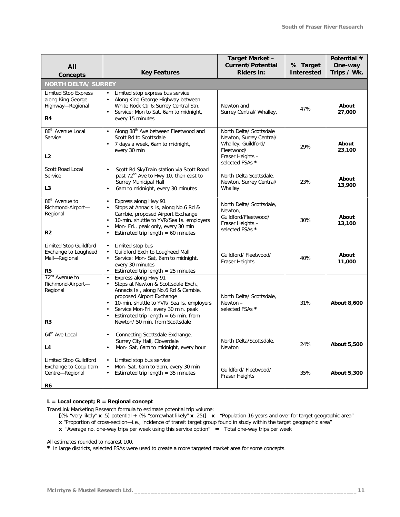| All                                                                               |                                                                                                                                                                                                                                                                                                                                                       | Target Market -<br><b>Current/Potential</b>                                                                                    | % Target          | Potential #<br>One-way |
|-----------------------------------------------------------------------------------|-------------------------------------------------------------------------------------------------------------------------------------------------------------------------------------------------------------------------------------------------------------------------------------------------------------------------------------------------------|--------------------------------------------------------------------------------------------------------------------------------|-------------------|------------------------|
| <b>Concepts</b>                                                                   | <b>Key Features</b>                                                                                                                                                                                                                                                                                                                                   |                                                                                                                                | <b>Interested</b> | Trips / Wk.            |
| <b>NORTH DELTA/ SURREY</b>                                                        |                                                                                                                                                                                                                                                                                                                                                       |                                                                                                                                |                   |                        |
| <b>Limited Stop Express</b><br>along King George<br>Highway-Regional<br>R4        | Limited stop express bus service<br>Along King George Highway between<br>$\bullet$<br>White Rock Ctr & Surrey Central Stn.<br>Service: Mon to Sat, 6am to midnight,<br>$\bullet$<br>every 15 minutes                                                                                                                                                  | Newton and<br>Surrey Central/ Whalley,                                                                                         | 47%               | About<br>27,000        |
| 88 <sup>th</sup> Avenue Local<br>Service<br>L2                                    | Along 88 <sup>th</sup> Ave between Fleetwood and<br>$\bullet$<br>Scott Rd to Scottsdale<br>7 days a week, 6am to midnight,<br>$\bullet$<br>every 30 min                                                                                                                                                                                               | North Delta/ Scottsdale<br>Newton, Surrey Central/<br>Whalley, Guildford/<br>Fleetwood/<br>Fraser Heights -<br>selected FSAs * | 29%               | About<br>23,100        |
| Scott Road Local<br>Service<br>L <sub>3</sub>                                     | Scott Rd SkyTrain station via Scott Road<br>$\bullet$<br>past 72 <sup>nd</sup> Ave to Hwy 10, then east to<br><b>Surrey Municipal Hall</b><br>6am to midnight, every 30 minutes<br>$\bullet$                                                                                                                                                          | North Delta Scottsdale.<br>Newton. Surrey Central/<br>Whalley                                                                  | 23%               | About<br>13,900        |
| 88 <sup>th</sup> Avenue to<br>Richmond-Airport-<br>Regional<br>R2                 | Express along Hwy 91<br>$\bullet$<br>Stops at Annacis Is, along No.6 Rd &<br>$\bullet$<br>Cambie, proposed Airport Exchange<br>10-min. shuttle to YVR/Sea Is. employers<br>$\bullet$<br>Mon- Fri., peak only, every 30 min<br>Estimated trip length $= 60$ minutes<br>$\bullet$                                                                       | North Delta/ Scottsdale,<br>Newton,<br>Guildford/Fleetwood/<br>Fraser Heights -<br>selected FSAs *                             | 30%               | About<br>13,100        |
| Limited Stop Guildford<br>Exchange to Lougheed<br>Mall-Regional<br>R <sub>5</sub> | Limited stop bus<br>Guildford Exch to Lougheed Mall<br>$\bullet$<br>Service: Mon-Sat, 6am to midnight,<br>every 30 minutes<br>Estimated trip length $= 25$ minutes<br>$\bullet$                                                                                                                                                                       | Guildford/ Fleetwood/<br>Fraser Heights                                                                                        | 40%               | About<br>11,000        |
| 72 <sup>nd</sup> Avenue to<br>Richmond-Airport-<br>Regional<br>R3                 | Express along Hwy 91<br>$\bullet$<br>Stops at Newton & Scottsdale Exch.,<br>$\bullet$<br>Annacis Is., along No.6 Rd & Cambie,<br>proposed Airport Exchange<br>10-min. shuttle to YVR/ Sea Is. employers<br>$\bullet$<br>Service Mon-Fri, every 30 min. peak<br>$\bullet$<br>Estimated trip length = $65$ min. from<br>Newton/ 50 min. from Scottsdale | North Delta/ Scottsdale,<br>Newton $-$<br>selected FSAs *                                                                      | 31%               | About 8,600            |
| 64 <sup>th</sup> Ave Local<br>L <sub>4</sub>                                      | Connecting Scottsdale Exchange,<br>$\bullet$<br>Surrey City Hall, Cloverdale<br>Mon-Sat, 6am to midnight, every hour<br>$\bullet$                                                                                                                                                                                                                     | North Delta/Scottsdale,<br>Newton                                                                                              | 24%               | About 5,500            |
| Limited Stop Guildford<br>Exchange to Coquitlam<br>Centre-Regional<br>R6          | Limited stop bus service<br>$\bullet$<br>Mon-Sat, 6am to 9pm, every 30 min<br>$\bullet$<br>Estimated trip length $=$ 35 minutes<br>$\bullet$                                                                                                                                                                                                          | Guildford/ Fleetwood/<br><b>Fraser Heights</b>                                                                                 | 35%               | About 5,300            |

#### **L = Local concept; R = Regional concept**

*TransLink Marketing Research formula to estimate potential trip volume:*

- **[**(% "very likely" **x** .5) potential **+** (% "somewhat likely" **x** .25)**] x** "Population 16 years and over for target geographic area" **x** "Proportion of cross-section—i.e., incidence of transit target group found in study within the target geographic area"
- **x** "Average no. one-way trips per week using this service option" **=** Total one-way trips per week

#### *All estimates rounded to nearest 100.*

*\* In large districts, selected FSAs were used to create a more targeted market area for some concepts.*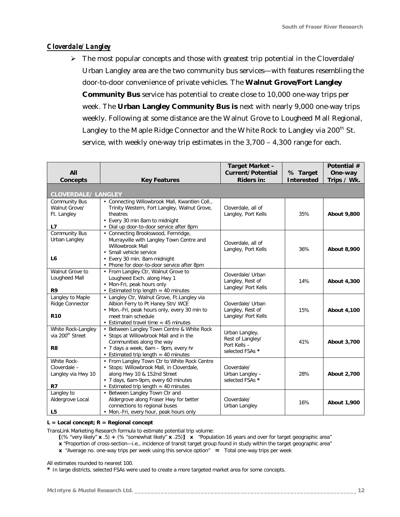#### *Cloverdale/ Langley*

 $\triangleright$  The most popular concepts and those with greatest trip potential in the Cloverdale/ Urban Langley area are the two community bus services—with features resembling the door-to-door convenience of private vehicles. The **Walnut Grove/Fort Langley Community Bus** service has potential to create close to 10,000 one-way trips per week. The **Urban Langley Community Bus is** next with nearly 9,000 one-way trips weekly. Following at some distance are the Walnut Grove to Lougheed Mall Regional, Langley to the Maple Ridge Connector and the White Rock to Langley via 200<sup>th</sup> St. service, with weekly one-way trip estimates in the 3,700 – 4,300 range for each.

| All                                                                  |                                                                                                                                                                                                              | Target Market -<br>Current/Potential                                  | % Target          | Potential #<br>One-way |
|----------------------------------------------------------------------|--------------------------------------------------------------------------------------------------------------------------------------------------------------------------------------------------------------|-----------------------------------------------------------------------|-------------------|------------------------|
| Concepts                                                             | <b>Key Features</b>                                                                                                                                                                                          | <b>Riders in:</b>                                                     | <b>Interested</b> | Trips / Wk.            |
| <b>CLOVERDALE/ LANGLEY</b>                                           |                                                                                                                                                                                                              |                                                                       |                   |                        |
| Community Bus<br>Walnut Grove/<br>Ft. Langley<br>L7                  | • Connecting Willowbrook Mall, Kwantlen Coll.,<br>Trinity Western, Fort Langley, Walnut Grove,<br>theatres<br>• Every 30 min 8am to midnight<br>· Dial up door-to-door service after 8pm                     | Cloverdale, all of<br>Langley, Port Kells                             | 35%               | About 9,800            |
| Community Bus<br>Urban Langley<br>L <sub>6</sub>                     | • Connecting Brookswood, Fernridge,<br>Murrayville with Langley Town Centre and<br>Willowbrook Mall<br>• Small vehicle service<br>• Every 30 min. 8am-midnight<br>• Phone for door-to-door service after 8pm | Cloverdale, all of<br>Langley, Port Kells                             | 36%               | About 8,900            |
| Walnut Grove to<br>Lougheed Mall<br>R <sub>9</sub>                   | • From Langley Ctr, Walnut Grove to<br>Lougheed Exch. along Hwy 1<br>• Mon-Fri, peak hours only<br>• Estimated trip length = 40 minutes                                                                      | Cloverdale/ Urban<br>Langley, Rest of<br>Langley/ Port Kells          | 14%               | About 4,300            |
| Langley to Maple<br>Ridge Connector<br><b>R10</b>                    | • Langley Ctr, Walnut Grove, Ft.Langley via<br>Albion Ferry to Pt Haney Stn/ WCE<br>• Mon.-Fri, peak hours only, every 30 min to<br>meet train schedule<br>• Estimated travel time $=$ 45 minutes            | Cloverdale/ Urban<br>Langley, Rest of<br>Langley/ Port Kells          | 15%               | About 4,100            |
| White Rock-Langley<br>via 200 <sup>th</sup> Street<br>R <sub>8</sub> | • Between Langley Town Centre & White Rock<br>• Stops at Willowbrook Mall and in the<br>Communities along the way<br>• 7 days a week, 6am - 9pm, every hr<br>• Estimated trip length $=$ 40 minutes          | Urban Langley,<br>Rest of Langley/<br>Port Kells -<br>selected FSAs * | 41%               | About 3,700            |
| White Rock-<br>Cloverdale -<br>Langley via Hwy 10<br>R7              | • From Langley Town Ctr to White Rock Centre<br>· Stops: Willowbrook Mall, in Cloverdale,<br>along Hwy 10 & 152nd Street<br>· 7 days, 6am-9pm, every 60 minutes<br>• Estimated trip length = 40 minutes      | Cloverdale/<br>Urban Langley -<br>selected FSAs *                     | 28%               | About 2,700            |
| Langley to<br>Aldergrove Local<br>L <sub>5</sub>                     | • Between Langley Town Ctr and<br>Aldergrove along Fraser Hwy for better<br>connections to regional buses<br>• Mon.-Fri, every hour, peak hours only                                                         | Cloverdale/<br>Urban Langley                                          | 16%               | About 1,900            |

#### **L = Local concept; R = Regional concept**

*TransLink Marketing Research formula to estimate potential trip volume:*

**[**(% "very likely" **x** .5) **+** (% "somewhat likely" **x** .25)**] x** "Population 16 years and over for target geographic area"

**x** "Proportion of cross-section—i.e., incidence of transit target group found in study within the target geographic area"

**x** "Average no. one-way trips per week using this service option" **=** Total one-way trips per week

*All estimates rounded to nearest 100.*

*\* In large districts, selected FSAs were used to create a more targeted market area for some concepts.*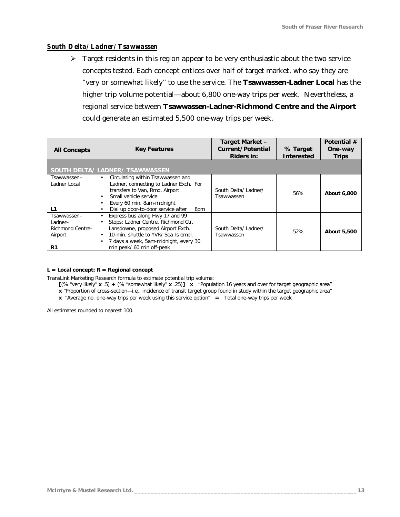#### *South Delta/ Ladner/ Tsawwassen*

 $\triangleright$  Target residents in this region appear to be very enthusiastic about the two service concepts tested. Each concept entices over half of target market, who say they are "very or somewhat likely" to use the service. The **Tsawwassen-Ladner Local** has the higher trip volume potential—about 6,800 one-way trips per week. Nevertheless, a regional service between **Tsawwassen-Ladner-Richmond Centre and the Airport** could generate an estimated 5,500 one-way trips per week.

| <b>All Concepts</b>                                         | <b>Key Features</b>                                                                                                                                                                                                            | Target Market -<br>Current/Potential<br>Riders in: | % Target<br><b>Interested</b> | Potential #<br>One-way<br><b>Trips</b> |
|-------------------------------------------------------------|--------------------------------------------------------------------------------------------------------------------------------------------------------------------------------------------------------------------------------|----------------------------------------------------|-------------------------------|----------------------------------------|
|                                                             | SOUTH DELTA/ LADNER/ TSAWWASSEN                                                                                                                                                                                                |                                                    |                               |                                        |
| Tsawwassen-<br>Ladner Local<br>L1                           | Circulating within Tsawwassen and<br>٠<br>Ladner, connecting to Ladner Exch. For<br>transfers to Van, Rmd, Airport<br>Small vehicle service<br>Every 60 min. 8am-midnight<br>Dial up door-to-door service after<br>8pm         | South Delta/ Ladner/<br>Tsawwassen                 | 56%                           | About 6,800                            |
| Tsawwassen-<br>Ladner-<br>Richmond Centre-<br>Airport<br>R1 | Express bus along Hwy 17 and 99<br>Stops: Ladner Centre, Richmond Ctr,<br>Lansdowne, proposed Airport Exch.<br>10-min. shuttle to YVR/ Sea Is empl.<br>٠<br>7 days a week, 5am-midnight, every 30<br>min peak/ 60 min off-peak | South Delta/ Ladner/<br>Tsawwassen                 | 52%                           | About 5,500                            |

#### **L = Local concept; R = Regional concept**

*TransLink Marketing Research formula to estimate potential trip volume:*

**[**(% "very likely" **x** .5) **+** (% "somewhat likely" **x** .25)**] x** "Population 16 years and over for target geographic area"

- **x** "Proportion of cross-section—i.e., incidence of transit target group found in study within the target geographic area"
- **x** "Average no. one-way trips per week using this service option" **=** Total one-way trips per week

*All estimates rounded to nearest 100.*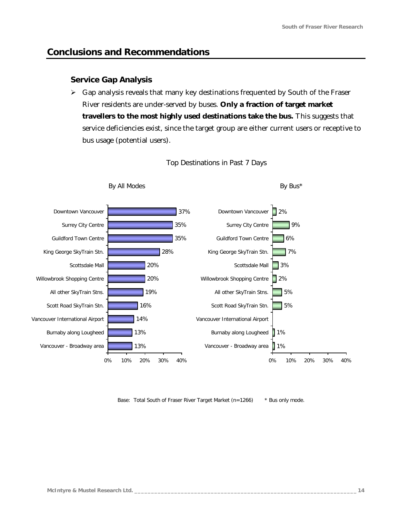By Bus\*

## **Conclusions and Recommendations**

By All Modes

#### *Service Gap Analysis*

 $\triangleright$  Gap analysis reveals that many key destinations frequented by South of the Fraser River residents are under-served by buses. **Only a fraction of target market travellers to the most highly used destinations take the bus.** This suggests that service deficiencies exist, since the target group are either current users or receptive to bus usage (potential users).



#### Top Destinations in Past 7 Days

*Base: Total South of Fraser River Target Market (n=1266) \* Bus only mode.*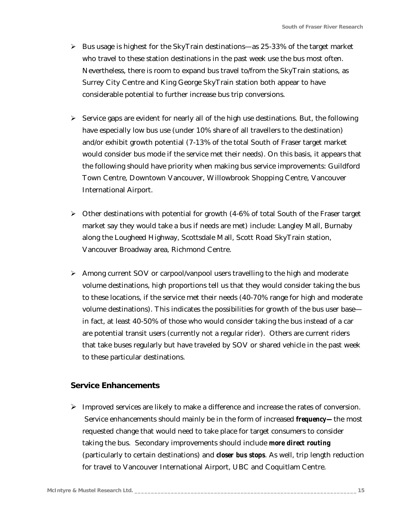- $\triangleright$  Bus usage is highest for the SkyTrain destinations—as 25-33% of the target market who travel to these station destinations in the past week use the bus most often. Nevertheless, there is room to expand bus travel to/from the SkyTrain stations, as Surrey City Centre and King George SkyTrain station both appear to have considerable potential to further increase bus trip conversions.
- $\triangleright$  Service gaps are evident for nearly all of the high use destinations. But, the following have especially low bus use (under 10% share of all travellers to the destination) and/or exhibit growth potential (7-13% of the total South of Fraser target market would consider bus mode if the service met their needs). On this basis, it appears that the following should have priority when making bus service improvements: Guildford Town Centre, Downtown Vancouver, Willowbrook Shopping Centre, Vancouver International Airport.
- $\triangleright$  Other destinations with potential for growth (4-6% of total South of the Fraser target market say they would take a bus if needs are met) include: Langley Mall, Burnaby along the Lougheed Highway, Scottsdale Mall, Scott Road SkyTrain station, Vancouver Broadway area, Richmond Centre.
- $\triangleright$  Among current SOV or carpool/vanpool users travelling to the high and moderate volume destinations, high proportions tell us that they would consider taking the bus to these locations, if the service met their needs (40-70% range for high and moderate volume destinations). This indicates the possibilities for growth of the bus user base in fact, at least 40-50% of those who would consider taking the bus instead of a car are potential transit users (currently not a regular rider). Others are current riders that take buses regularly but have traveled by SOV or shared vehicle in the past week to these particular destinations.

#### *Service Enhancements*

 $\triangleright$  Improved services are likely to make a difference and increase the rates of conversion. Service enhancements should mainly be in the form of increased *frequency—*the most requested change that would need to take place for target consumers to consider taking the bus. Secondary improvements should include *more direct routing* (particularly to certain destinations) and *closer bus stops*. As well, trip length reduction for travel to Vancouver International Airport, UBC and Coquitlam Centre.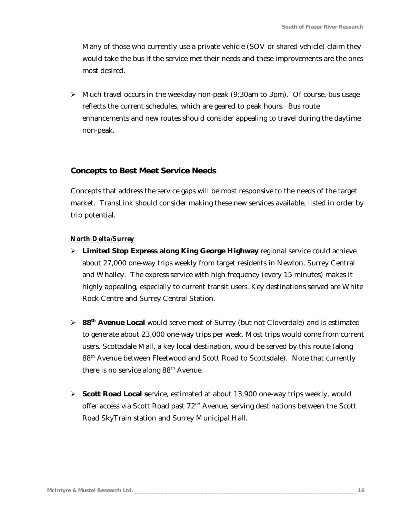Many of those who currently use a private vehicle (SOV or shared vehicle) claim they would take the bus if the service met their needs and these improvements are the ones most desired.

 $\triangleright$  Much travel occurs in the weekday non-peak (9:30am to 3pm). Of course, bus usage reflects the current schedules, which are geared to peak hours. Bus route enhancements and new routes should consider appealing to travel during the daytime non-peak.

#### *Concepts to Best Meet Service Needs*

Concepts that address the service gaps will be most responsive to the needs of the target market. TransLink should consider making these new services available, listed in order by trip potential.

#### *North Delta/Surrey*

- ÿ **Limited Stop Express along King George Highway** regional service could achieve about 27,000 one-way trips weekly from target residents in Newton, Surrey Central and Whalley. The express service with high frequency (every 15 minutes) makes it highly appealing, especially to current transit users. Key destinations served are White Rock Centre and Surrey Central Station.
- ÿ **88th Avenue Local** would serve most of Surrey (but not Cloverdale) and is estimated to generate about 23,000 one-way trips per week. Most trips would come from current users. Scottsdale Mall, a key local destination, would be served by this route (along 88<sup>th</sup> Avenue between Fleetwood and Scott Road to Scottsdale). Note that currently there is no service along  $88<sup>th</sup>$  Avenue.
- ÿ **Scott Road Local s**ervice, estimated at about 13,900 one-way trips weekly, would offer access via Scott Road past 72<sup>nd</sup> Avenue, serving destinations between the Scott Road SkyTrain station and Surrey Municipal Hall.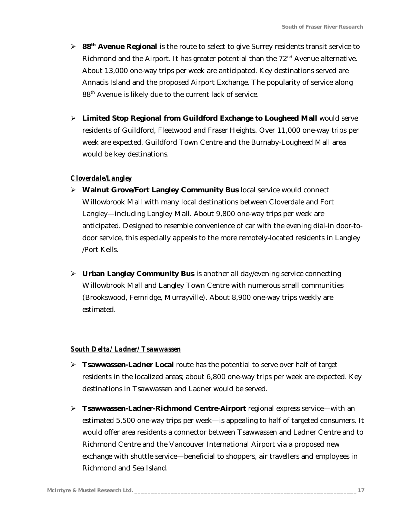- ÿ **88th Avenue Regional** is the route to select to give Surrey residents transit service to Richmond and the Airport. It has greater potential than the  $72<sup>nd</sup>$  Avenue alternative. About 13,000 one-way trips per week are anticipated. Key destinations served are Annacis Island and the proposed Airport Exchange. The popularity of service along 88th Avenue is likely due to the current lack of service.
- > Limited Stop Regional from Guildford Exchange to Lougheed Mall would serve residents of Guildford, Fleetwood and Fraser Heights. Over 11,000 one-way trips per week are expected. Guildford Town Centre and the Burnaby-Lougheed Mall area would be key destinations.

#### *Cloverdale/Langley*

- ÿ **Walnut Grove/Fort Langley Community Bus** local service would connect Willowbrook Mall with many local destinations between Cloverdale and Fort Langley—including Langley Mall. About 9,800 one-way trips per week are anticipated. Designed to resemble convenience of car with the evening dial-in door-todoor service, this especially appeals to the more remotely-located residents in Langley /Port Kells.
- ÿ **Urban Langley Community Bus** is another all day/evening service connecting Willowbrook Mall and Langley Town Centre with numerous small communities (Brookswood, Fernridge, Murrayville). About 8,900 one-way trips weekly are estimated.

#### *South Delta/ Ladner/ Tsawwassen*

- ÿ **Tsawwassen-Ladner Local** route has the potential to serve over half of target residents in the localized areas; about 6,800 one-way trips per week are expected. Key destinations in Tsawwassen and Ladner would be served.
- ÿ **Tsawwassen-Ladner-Richmond Centre-Airport** regional express service—with an estimated 5,500 one-way trips per week—is appealing to half of targeted consumers. It would offer area residents a connector between Tsawwassen and Ladner Centre and to Richmond Centre and the Vancouver International Airport via a proposed new exchange with shuttle service—beneficial to shoppers, air travellers and employees in Richmond and Sea Island.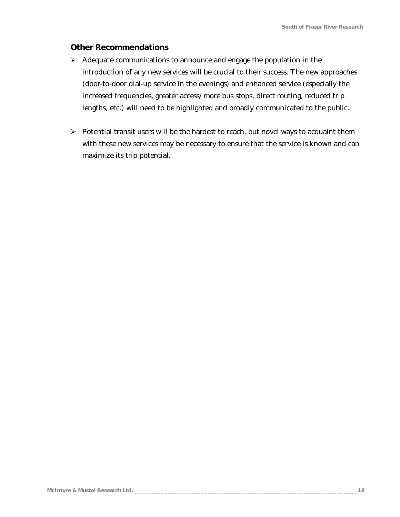#### *Other Recommendations*

- $\triangleright$  Adequate communications to announce and engage the population in the introduction of any new services will be crucial to their success. The new approaches (door-to-door dial-up service in the evenings) and enhanced service (especially the increased frequencies, greater access/ more bus stops, direct routing, reduced trip lengths, etc.) will need to be highlighted and broadly communicated to the public.
- $\triangleright$  Potential transit users will be the hardest to reach, but novel ways to acquaint them with these new services may be necessary to ensure that the service is known and can maximize its trip potential.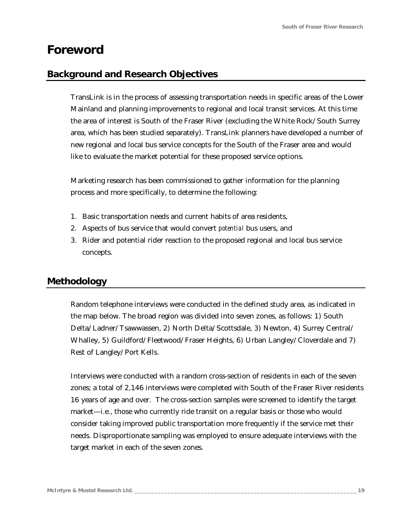## <span id="page-18-0"></span>**Foreword**

## **Background and Research Objectives**

TransLink is in the process of assessing transportation needs in specific areas of the Lower Mainland and planning improvements to regional and local transit services. At this time the area of interest is South of the Fraser River (excluding the White Rock/ South Surrey area, which has been studied separately). TransLink planners have developed a number of new regional and local bus service concepts for the South of the Fraser area and would like to evaluate the market potential for these proposed service options.

Marketing research has been commissioned to gather information for the planning process and more specifically, to determine the following:

- 1. Basic transportation needs and current habits of area residents,
- 2. Aspects of bus service that would convert *potential* bus users, and
- 3. Rider and potential rider reaction to the proposed regional and local bus service concepts.

## **Methodology**

Random telephone interviews were conducted in the defined study area, as indicated in the map below. The broad region was divided into seven zones, as follows: 1) South Delta/ Ladner/ Tsawwassen, 2) North Delta/ Scottsdale, 3) Newton, 4) Surrey Central/ Whalley, 5) Guildford/ Fleetwood/ Fraser Heights, 6) Urban Langley/ Cloverdale and 7) Rest of Langley/ Port Kells.

Interviews were conducted with a random cross-section of residents in each of the seven zones; a total of 2,146 interviews were completed with South of the Fraser River residents 16 years of age and over. The cross-section samples were screened to identify the target market—i.e., those who currently ride transit on a regular basis or those who would consider taking improved public transportation more frequently if the service met their needs. Disproportionate sampling was employed to ensure adequate interviews with the target market in each of the seven zones.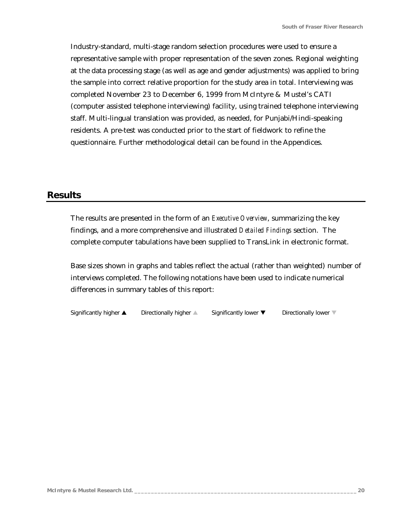Industry-standard, multi-stage random selection procedures were used to ensure a representative sample with proper representation of the seven zones. Regional weighting at the data processing stage (as well as age and gender adjustments) was applied to bring the sample into correct relative proportion for the study area in total. Interviewing was completed November 23 to December 6, 1999 from McIntyre & Mustel's CATI (computer assisted telephone interviewing) facility, using trained telephone interviewing staff. Multi-lingual translation was provided, as needed, for Punjabi/Hindi-speaking residents. A pre-test was conducted prior to the start of fieldwork to refine the questionnaire. Further methodological detail can be found in the Appendices.

### **Results**

The results are presented in the form of an *Executive Overview*, summarizing the key findings, and a more comprehensive and illustrated *Detailed Findings* section. The complete computer tabulations have been supplied to TransLink in electronic format.

Base sizes shown in graphs and tables reflect the actual (rather than weighted) number of interviews completed. The following notations have been used to indicate numerical differences in summary tables of this report:

Significantly higher  $\blacktriangle$  Directionally higher  $\blacktriangle$  Significantly lower  $\nabla$  Directionally lower  $\nabla$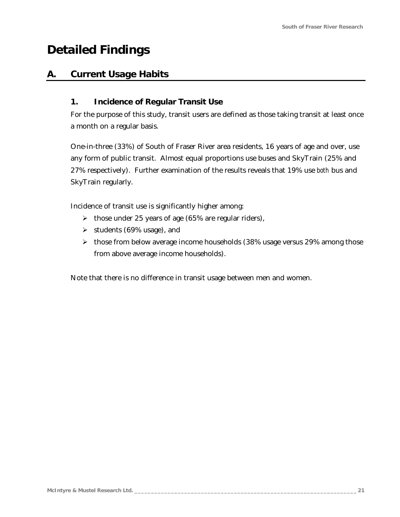## <span id="page-20-0"></span>**Detailed Findings**

## **A. Current Usage Habits**

### *1. Incidence of Regular Transit Use*

For the purpose of this study, transit users are defined as those taking transit at least once a month on a regular basis.

One-in-three (33%) of South of Fraser River area residents, 16 years of age and over, use any form of public transit. Almost equal proportions use buses and SkyTrain (25% and 27% respectively). Further examination of the results reveals that 19% use *both* bus and SkyTrain regularly.

Incidence of transit use is significantly higher among:

- $\blacktriangleright$  those under 25 years of age (65% are regular riders),
- $\blacktriangleright$  students (69% usage), and
- $\triangleright$  those from below average income households (38% usage versus 29% among those from above average income households).

Note that there is no difference in transit usage between men and women.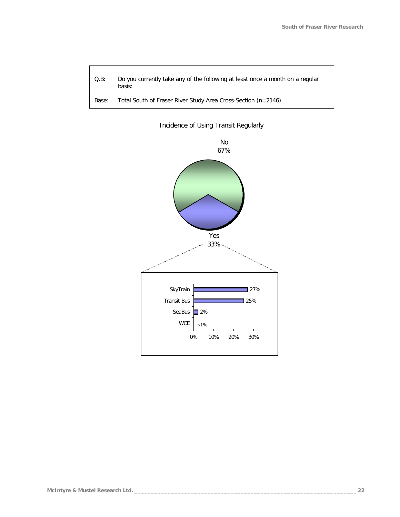

*Base: Total South of Fraser River Study Area Cross-Section (n=2146)*



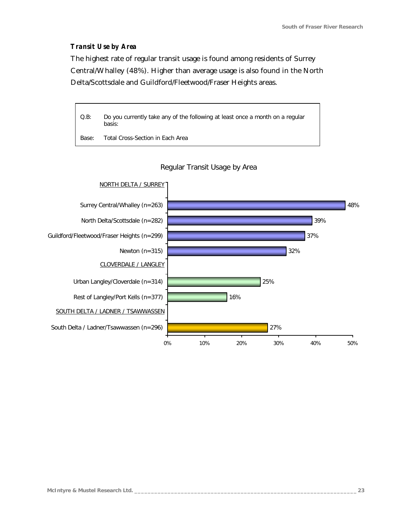#### *Transit Use by Area*

The highest rate of regular transit usage is found among residents of Surrey Central/Whalley (48%). Higher than average usage is also found in the North Delta/Scottsdale and Guildford/Fleetwood/Fraser Heights areas.

*Q.B: Do you currently take any of the following at least once a month on a regular basis:*

*Base: Total Cross-Section in Each Area*



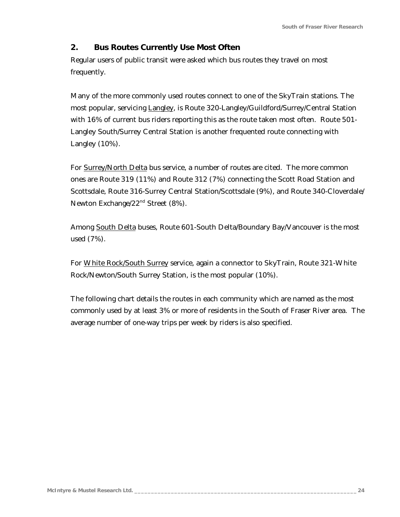## *2. Bus Routes Currently Use Most Often*

Regular users of public transit were asked which bus routes they travel on most frequently.

Many of the more commonly used routes connect to one of the SkyTrain stations. The most popular, servicing Langley, is Route 320-Langley/Guildford/Surrey/Central Station with 16% of current bus riders reporting this as the route taken most often. Route 501- Langley South/Surrey Central Station is another frequented route connecting with Langley (10%).

For Surrey/North Delta bus service, a number of routes are cited. The more common ones are Route 319 (11%) and Route 312 (7%) connecting the Scott Road Station and Scottsdale, Route 316-Surrey Central Station/Scottsdale (9%), and Route 340-Cloverdale/ Newton Exchange/22<sup>nd</sup> Street (8%).

Among South Delta buses, Route 601-South Delta/Boundary Bay/Vancouver is the most used (7%).

For White Rock/South Surrey service, again a connector to SkyTrain, Route 321-White Rock/Newton/South Surrey Station, is the most popular (10%).

The following chart details the routes in each community which are named as the most commonly used by at least 3% or more of residents in the South of Fraser River area. The average number of one-way trips per week by riders is also specified.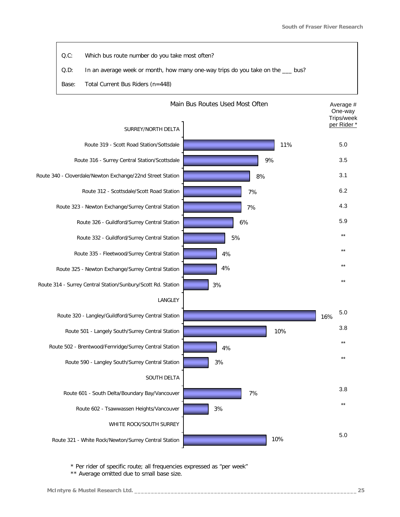

*\* Per rider of specific route; all frequencies expressed as "per week"* 

*\*\* Average omitted due to small base size.*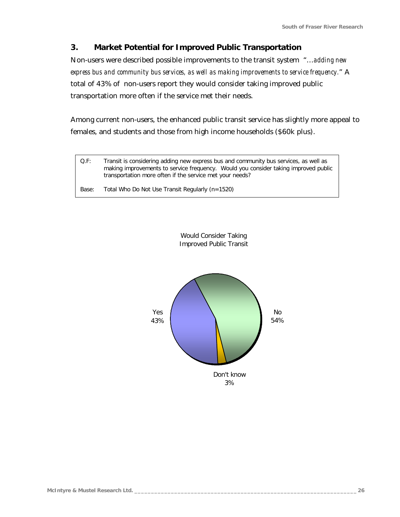## *3. Market Potential for Improved Public Transportation*

Non-users were described possible improvements to the transit system "…*adding new express bus and community bus services, as well as making improvements to service frequency.*" A total of 43% of non-users report they would consider taking improved public transportation more often if the service met their needs.

Among current non-users, the enhanced public transit service has slightly more appeal to females, and students and those from high income households (\$60k plus).

*Q.F: Transit is considering adding new express bus and community bus services, as well as making improvements to service frequency. Would you consider taking improved public transportation more often if the service met your needs?*

*Base: Total Who Do Not Use Transit Regularly (n=1520)*



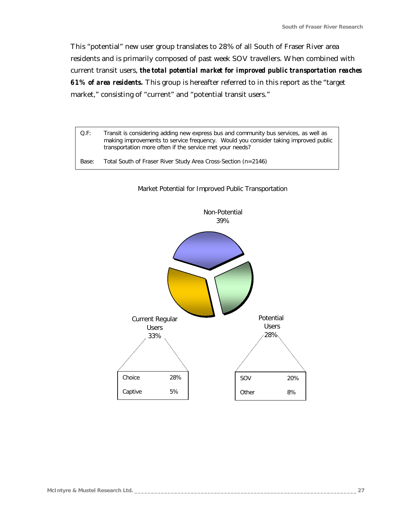This "potential" new user group translates to 28% of all South of Fraser River area residents and is primarily composed of past week SOV travellers. When combined with current transit users, *the total potential market for improved public transportation reaches 61% of area residents.* This group is hereafter referred to in this report as the "target market," consisting of "current" and "potential transit users."

*Q.F: Transit is considering adding new express bus and community bus services, as well as making improvements to service frequency. Would you consider taking improved public transportation more often if the service met your needs? Base: Total South of Fraser River Study Area Cross-Section (n=2146)*



#### Market Potential for Improved Public Transportation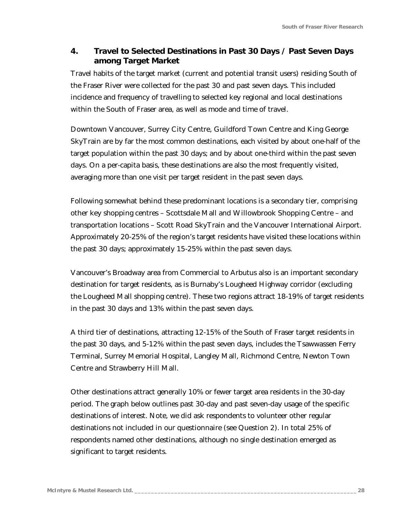## *4. Travel to Selected Destinations in Past 30 Days / Past Seven Days among Target Market*

Travel habits of the target market (current and potential transit users) residing South of the Fraser River were collected for the past 30 and past seven days. This included incidence and frequency of travelling to selected key regional and local destinations within the South of Fraser area, as well as mode and time of travel.

Downtown Vancouver, Surrey City Centre, Guildford Town Centre and King George SkyTrain are by far the most common destinations, each visited by about one-half of the target population within the past 30 days; and by about one-third within the past seven days. On a per-capita basis, these destinations are also the most frequently visited, averaging more than one visit per target resident in the past seven days.

Following somewhat behind these predominant locations is a secondary tier, comprising other key shopping centres – Scottsdale Mall and Willowbrook Shopping Centre – and transportation locations – Scott Road SkyTrain and the Vancouver International Airport. Approximately 20-25% of the region's target residents have visited these locations within the past 30 days; approximately 15-25% within the past seven days.

Vancouver's Broadway area from Commercial to Arbutus also is an important secondary destination for target residents, as is Burnaby's Lougheed Highway corridor (excluding the Lougheed Mall shopping centre). These two regions attract 18-19% of target residents in the past 30 days and 13% within the past seven days.

A third tier of destinations, attracting 12-15% of the South of Fraser target residents in the past 30 days, and 5-12% within the past seven days, includes the Tsawwassen Ferry Terminal, Surrey Memorial Hospital, Langley Mall, Richmond Centre, Newton Town Centre and Strawberry Hill Mall.

Other destinations attract generally 10% or fewer target area residents in the 30-day period. The graph below outlines past 30-day and past seven-day usage of the specific destinations of interest. Note, we did ask respondents to volunteer other regular destinations not included in our questionnaire (see Question 2). In total 25% of respondents named other destinations, although no single destination emerged as significant to target residents.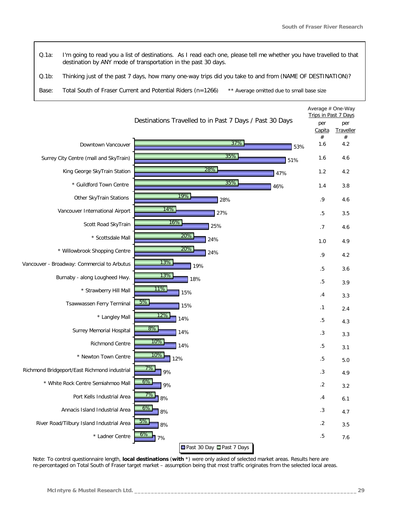*Q.1a: I'm going to read you a list of destinations. As I read each one, please tell me whether you have travelled to that destination by ANY mode of transportation in the past 30 days.*

*Q.1b: Thinking just of the past 7 days, how many one-way trips did you take to and from (NAME OF DESTINATION)?*

*Base: Total South of Fraser Current and Potential Riders (n=1266) \*\* Average omitted due to small base size*



*Note: To control questionnaire length, local destinations (with \*) were only asked of selected market areas. Results here are re-percentaged on Total South of Fraser target market – assumption being that most traffic originates from the selected local areas.*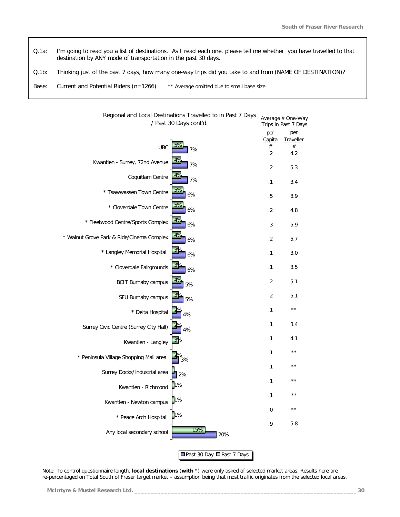*Q.1a: I'm going to read you a list of destinations. As I read each one, please tell me whether you have travelled to that destination by ANY mode of transportation in the past 30 days.*

*Q.1b: Thinking just of the past 7 days, how many one-way trips did you take to and from (NAME OF DESTINATION)?*

*Base: Current and Potential Riders (n=1266) \*\* Average omitted due to small base size*

| Regional and Local Destinations Travelled to in Past 7 Days<br>/ Past 30 Days cont'd. |                           |                            | Average # One-Way<br>Trips in Past 7 Days |
|---------------------------------------------------------------------------------------|---------------------------|----------------------------|-------------------------------------------|
|                                                                                       |                           | per<br>Capita              | per<br>Traveller                          |
| 5%<br><b>UBC</b><br>7%                                                                |                           | $^{\#}$<br>$.2\phantom{0}$ | $^{\#}$<br>4.2                            |
| 4%<br>Kwantlen - Surrey, 72nd Avenue<br>7%                                            |                           | $.2\phantom{0}$            | 5.3                                       |
| 4%<br>Coquitlam Centre<br>7%                                                          |                           | .1                         | 3.4                                       |
| 5%<br>* Tsawwassen Town Centre<br>6%                                                  |                           | .5                         | 8.9                                       |
| 5%<br>* Cloverdale Town Centre<br>6%                                                  |                           | $.2\phantom{0}$            | 4.8                                       |
| 4%<br>* Fleetwood Centre/Sports Complex<br>6%                                         |                           | .3                         | 5.9                                       |
| 4%<br>* Walnut Grove Park & Ride/Cinema Complex<br>6%                                 |                           | .2                         | 5.7                                       |
| 39<br>* Langley Memorial Hospital<br>6%                                               |                           | .1                         | 3.0                                       |
| 3 <sup>o</sup><br>* Cloverdale Fairgrounds<br>6%                                      |                           | .1                         | 3.5                                       |
| 4%<br><b>BCIT Burnaby campus</b><br>5%                                                |                           | .2                         | 5.1                                       |
| SFU Burnaby campus<br>5%                                                              |                           | $.2\phantom{0}$            | 5.1                                       |
| * Delta Hospital<br>4%                                                                |                           | .1                         | $\star\star$                              |
| Surrey Civic Centre (Surrey City Hall)<br>4%                                          |                           | .1                         | 3.4                                       |
| 3%<br>Kwantlen - Langley                                                              |                           | .1                         | 4.1                                       |
| ,<br>3%<br>* Peninsula Village Shopping Mall area                                     |                           | .1                         | $\star\star$                              |
| Surrey Docks/Industrial area<br>2%                                                    |                           | .1                         | $\star\star$                              |
| 1%<br>Kwantlen - Richmond                                                             |                           | $\cdot$ 1                  | $* *$                                     |
| 1%<br>Kwantlen - Newton campus                                                        |                           | .1                         | $\star\star$                              |
| $\blacksquare$ 1%<br>* Peace Arch Hospital                                            |                           | .0                         | $\star\star$                              |
| 15%<br>Any local secondary school                                                     | 20%                       | .9                         | 5.8                                       |
|                                                                                       | ■Past 30 Day ■Past 7 Days |                            |                                           |

*Note: To control questionnaire length, local destinations (with \*) were only asked of selected market areas. Results here are re-percentaged on Total South of Fraser target market – assumption being that most traffic originates from the selected local areas.*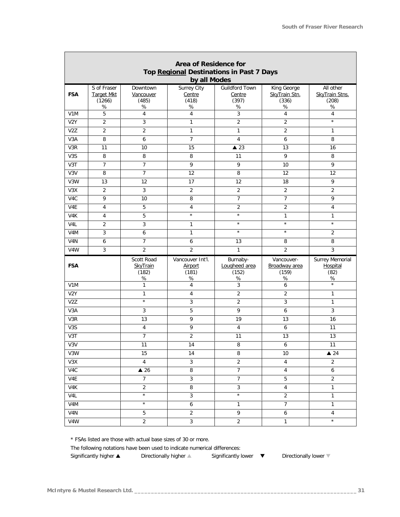J.

| Area of Residence for<br>Top Regional Destinations in Past 7 Days |                                                 |                                         |                                              |                                                  |                                               |                                                    |
|-------------------------------------------------------------------|-------------------------------------------------|-----------------------------------------|----------------------------------------------|--------------------------------------------------|-----------------------------------------------|----------------------------------------------------|
|                                                                   |                                                 |                                         | by all Modes                                 |                                                  |                                               |                                                    |
| <b>FSA</b>                                                        | S of Fraser<br><b>Target Mkt</b><br>(1266)<br>% | Downtown<br>Vancouver<br>(485)<br>$\%$  | Surrey City<br>Centre<br>(418)<br>$\%$       | <b>Guildford Town</b><br>Centre<br>(397)<br>$\%$ | King George<br>SkyTrain Stn.<br>(336)<br>$\%$ | All other<br>SkyTrain Stns.<br>(208)<br>$\%$       |
| V1M                                                               | 5                                               | $\overline{4}$                          | $\overline{4}$                               | 3                                                | 4                                             | $\overline{4}$                                     |
| V <sub>2</sub> Y                                                  | $\overline{2}$                                  | 3                                       | $\mathbf{1}$                                 | $\overline{2}$                                   | $\overline{2}$                                | $\star$                                            |
| V <sub>2</sub> Z                                                  | $\overline{2}$                                  | $\overline{2}$                          | $\mathbf{1}$                                 | $\mathbf{1}$                                     | $\overline{2}$                                | $\mathbf{1}$                                       |
| V3A                                                               | 8                                               | 6                                       | $\overline{7}$                               | $\overline{4}$                                   | 6                                             | 8                                                  |
| V3R                                                               | 11                                              | 10                                      | 15                                           | $\triangle$ 23                                   | 13                                            | 16                                                 |
| V <sub>3</sub> S                                                  | 8                                               | 8                                       | 8                                            | 11                                               | 9                                             | 8                                                  |
| V3T                                                               | 7                                               | $\overline{7}$                          | 9                                            | 9                                                | 10                                            | 9                                                  |
| V3V                                                               | 8                                               | 7                                       | 12                                           | 8                                                | 12                                            | 12                                                 |
| V3W                                                               | 13                                              | 12                                      | 17                                           | 12                                               | 18                                            | 9                                                  |
| V3X                                                               | $\overline{2}$                                  | 3                                       | $\overline{2}$                               | $\overline{2}$                                   | $\overline{2}$                                | $\overline{2}$                                     |
| V4C                                                               | 9                                               | 10                                      | 8                                            | $\overline{7}$                                   | $\overline{7}$                                | 9                                                  |
| V4E                                                               | $\overline{4}$                                  | 5                                       | 4                                            | $\sqrt{2}$                                       | 2                                             | $\overline{4}$                                     |
| V <sub>4</sub> K                                                  | 4                                               | 5                                       | $\star$                                      | $\star$                                          | 1                                             | 1                                                  |
| V4L                                                               | $\overline{2}$                                  | 3                                       | $\mathbf{1}$                                 | $\star$                                          | $\star$                                       | $\star$                                            |
| V <sub>4</sub> M                                                  | 3                                               | 6                                       | $\mathbf{1}$                                 | $\star$                                          | $\star$                                       | $\overline{2}$                                     |
| V4N                                                               | 6                                               | $\overline{7}$                          | 6                                            | 13                                               | 8                                             | 8                                                  |
| V4W                                                               | $\mathfrak{Z}$                                  | $\overline{2}$                          | $\overline{2}$                               | $\mathbf{1}$                                     | $\overline{2}$                                | 3                                                  |
| <b>FSA</b>                                                        |                                                 | Scott Road<br>SkyTrain<br>(182)<br>$\%$ | Vancouver Int'l.<br>Airport<br>(181)<br>$\%$ | Burnaby-<br>Lougheed area<br>(152)<br>$\%$       | Vancouver-<br>Broadway area<br>(159)<br>$\%$  | <b>Surrey Memorial</b><br>Hospital<br>(82)<br>$\%$ |
| V1M                                                               |                                                 | $\mathbf{1}$                            | $\overline{4}$                               | $\mathfrak{Z}$                                   | 6                                             | $^\star$                                           |
| V <sub>2</sub> Y                                                  |                                                 | 1                                       | 4                                            | $\overline{2}$                                   | 2                                             | $\mathbf{1}$                                       |
| V <sub>2</sub> Z                                                  |                                                 | $\star$                                 | 3                                            | $\overline{c}$                                   | 3                                             | $\mathbf{1}$                                       |
| V3A                                                               |                                                 | 3                                       | 5                                            | 9                                                | 6                                             | $\mathbf{3}$                                       |
| V3R                                                               |                                                 | 13                                      | 9                                            | 19                                               | 13                                            | 16                                                 |
| V <sub>3</sub> S                                                  |                                                 | 4                                       | 9                                            | $\overline{4}$                                   | 6                                             | 11                                                 |
| V3T                                                               |                                                 | $\overline{7}$                          | $\overline{2}$                               | 11                                               | 13                                            | 13                                                 |
| V3V                                                               |                                                 | 11                                      | 14                                           | 8                                                | 6                                             | 11                                                 |
| V3W                                                               |                                                 | 15                                      | 14                                           | 8                                                | 10                                            | $\triangle$ 24                                     |
| V3X                                                               |                                                 | $\overline{4}$                          | $\mathfrak{Z}$                               | $\overline{2}$                                   | $\overline{4}$                                | $\overline{2}$                                     |
| V4C                                                               |                                                 | $\triangle$ 26                          | 8                                            | $\overline{7}$                                   | $\overline{4}$                                | 6                                                  |
| V4E                                                               |                                                 | $\overline{7}$                          | 3                                            | $\overline{7}$                                   | 5                                             | $\overline{2}$                                     |
| V4K                                                               |                                                 | $\overline{2}$                          | 8                                            | $\mathfrak{Z}$                                   | $\overline{4}$                                | $\mathbf{1}$                                       |
| V <sub>4</sub> L                                                  |                                                 | $\star$                                 | $\mathfrak{Z}$                               | $\star$                                          | $\overline{2}$                                | 1                                                  |
| V4M                                                               |                                                 | $\star$                                 | 6                                            | $\mathbf{1}$                                     | $\overline{7}$                                | $\mathbf{1}$                                       |
| V <sub>4</sub> N                                                  |                                                 | 5                                       | $\overline{2}$                               | 9                                                | 6                                             | $\overline{4}$                                     |
| V4W                                                               |                                                 | 2                                       | 3                                            | $\overline{2}$                                   | $\mathbf{1}$                                  | $\star$                                            |

*\* FSAs listed are those with actual base sizes of 30 or more.*

*The following notations have been used to indicate numerical differences:*

*Significantly higher s Directionally higher s Significantly lower t Directionally lower t*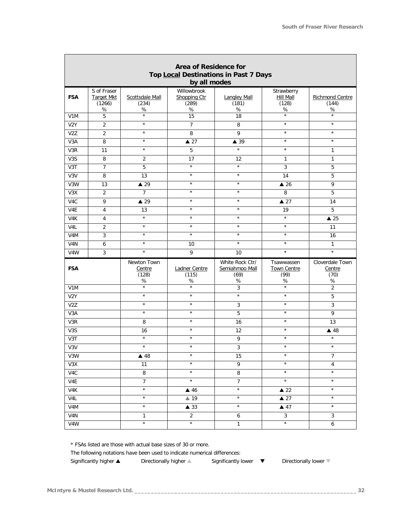| Area of Residence for |                                                       |                                     |                                              |                                                   |                                                  |                                           |  |  |
|-----------------------|-------------------------------------------------------|-------------------------------------|----------------------------------------------|---------------------------------------------------|--------------------------------------------------|-------------------------------------------|--|--|
|                       | Top Local Destinations in Past 7 Days<br>by all modes |                                     |                                              |                                                   |                                                  |                                           |  |  |
| <b>FSA</b>            | S of Fraser<br><b>Target Mkt</b><br>(1266)<br>$\%$    | Scottsdale Mall<br>(234)<br>%       | Willowbrook<br>Shopping Ctr<br>(289)<br>$\%$ | <b>Langley Mall</b><br>(181)<br>$\%$              | Strawberry<br><b>Hill Mall</b><br>(128)<br>℅     | Richmond Centre<br>(144)<br>$\%$          |  |  |
| V1M                   | 5                                                     | $\star$                             | 15                                           | 18                                                | $\star$                                          | $\star$                                   |  |  |
| V <sub>2</sub> Y      | $\overline{2}$                                        | $\star$                             | $\overline{7}$                               | 8                                                 | $\star$                                          | $\star$                                   |  |  |
| V <sub>2</sub> Z      | $\overline{2}$                                        | $\star$                             | $\overline{8}$                               | 9                                                 | $\star$                                          | $\star$                                   |  |  |
| V3A                   | 8                                                     | $\star$                             | $\triangle 27$                               | $\blacktriangle$ 39                               | $\star$                                          | $\star$                                   |  |  |
| V3R                   | 11                                                    | $\star$                             | 5                                            | $\star$                                           | $\star$                                          | $\mathbf{1}$                              |  |  |
| V <sub>3</sub> S      | 8                                                     | 2                                   | 17                                           | 12                                                | 1                                                | $\mathbf{1}$                              |  |  |
| V3T                   | $\boldsymbol{7}$                                      | 5                                   | $\star$                                      | $\star$                                           | $\mathfrak{Z}$                                   | $\overline{5}$                            |  |  |
| V3V                   | 8                                                     | 13                                  | $\star$                                      | $\star$                                           | 14                                               | 5                                         |  |  |
| V3W                   | 13                                                    | $\triangle$ 29                      | $\star$                                      | $\star$                                           | $\triangle$ 26                                   | 9                                         |  |  |
| V3X                   | $\overline{2}$                                        | $\overline{7}$                      | $\star$                                      | $\star$                                           | 8                                                | 5                                         |  |  |
| V4C                   | 9                                                     | $\triangle$ 29                      | $\star$                                      | $\star$                                           | $\triangle 27$                                   | 14                                        |  |  |
| V4E                   | $\overline{4}$                                        | 13                                  | $\star$                                      | $\star$                                           | 19                                               | 5                                         |  |  |
| V4K                   | 4                                                     | $\star$                             | $\star$                                      | $\star$                                           | $\star$                                          | $\triangle$ 25                            |  |  |
| V4L                   | $\overline{2}$                                        | $\star$                             | $\star$                                      | $\star$                                           | $\star$                                          | 11                                        |  |  |
| V <sub>4</sub> M      | 3                                                     | $\star$                             | $\star$                                      | $\star$                                           | $\star$                                          | 16                                        |  |  |
| V <sub>4</sub> N      | 6                                                     | $\star$                             | 10                                           | $\star$                                           | $\star$                                          | $\mathbf{1}$                              |  |  |
| V4W                   | 3                                                     | $\star$                             | $\overline{9}$                               | 10                                                | $\star$                                          | $\star$                                   |  |  |
| <b>FSA</b>            |                                                       | Newton Town<br>Centre<br>(128)<br>℅ | Ladner Centre<br>(115)<br>%                  | White Rock Ctr/<br>Semiahmoo Mall<br>(69)<br>$\%$ | Tsawwassen<br><b>Town Centre</b><br>(99)<br>$\%$ | Cloverdale Town<br>Centre<br>(70)<br>$\%$ |  |  |
| V1M                   |                                                       | $\star$                             | $^\star$                                     | 3                                                 | $\star$                                          | $\overline{2}$                            |  |  |
| V <sub>2</sub> Y      |                                                       | $\star$                             | $\star$                                      | $\star$                                           | $\star$                                          | 5                                         |  |  |
| V <sub>2</sub> Z      |                                                       | $\star$                             | $\star$                                      | 3                                                 | $\star$                                          | 3                                         |  |  |
| V3A                   |                                                       | $\star$                             | $\star$                                      | $\overline{5}$                                    | $\star$                                          | 9                                         |  |  |
| V3R                   |                                                       | 8                                   | $\star$                                      | 16                                                | $\star$                                          | 13                                        |  |  |
| V3S                   |                                                       | 16                                  | $\star$                                      | 12                                                | $\star$                                          | $\triangle$ 48                            |  |  |
| V3T                   |                                                       | $\star$                             | $\star$                                      | 9                                                 | $\star$                                          | $\star$                                   |  |  |
| V3V                   |                                                       | $\star$                             | $\star$                                      | 3                                                 | $\star$                                          | $\star$                                   |  |  |
| V3W                   |                                                       | $\triangle$ 48                      | $\star$                                      | 15                                                | $\star$                                          | $\overline{7}$                            |  |  |
| V3X                   |                                                       | 11                                  | $\star$                                      | 9                                                 | $\star$                                          | $\overline{4}$                            |  |  |
| V4C                   |                                                       | 8                                   | $\star$                                      | 8                                                 | $\star$                                          | $\star$                                   |  |  |
| V4E                   |                                                       | $\overline{7}$                      | $\star$                                      | $\overline{7}$                                    | $\star$                                          | $\star$                                   |  |  |
| V4K                   |                                                       | $\star$                             | $\triangle$ 46                               | $\star$                                           | $\triangle$ 22                                   | $\star$                                   |  |  |
| V4L                   |                                                       | $\star$                             | ▲ 19                                         | $\star$                                           | $\triangle 27$                                   | $\star$                                   |  |  |
| V4M                   |                                                       | $\star$                             | $\blacktriangle$ 33                          | $\star$                                           | $\triangle$ 47                                   | $\star$                                   |  |  |
| V4N                   |                                                       | $\mathbf{1}$                        | $\overline{2}$                               | 6                                                 | $\mathbf{3}$                                     | $\mathbf{3}$                              |  |  |
| V4W                   |                                                       | $^\star$                            | $^\star$                                     | $\mathbf{1}$                                      | $^\star$                                         | 6                                         |  |  |

*\* FSAs listed are those with actual base sizes of 30 or more.*

*The following notations have been used to indicate numerical differences:*

*Significantly higher s Directionally higher s Significantly lower t Directionally lower t*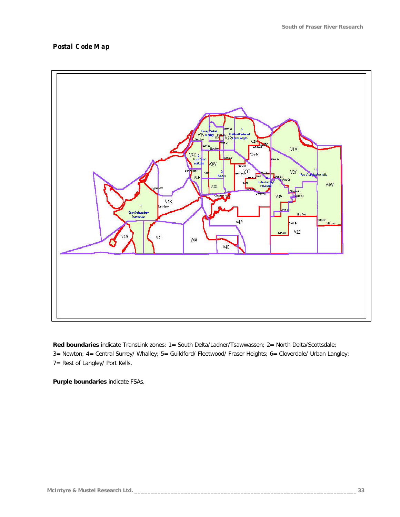#### *Postal Code Map*



*Red boundaries indicate TransLink zones: 1= South Delta/Ladner/Tsawwassen; 2= North Delta/Scottsdale; 3= Newton; 4= Central Surrey/ Whalley; 5= Guildford/ Fleetwood/ Fraser Heights; 6= Cloverdale/ Urban Langley; 7= Rest of Langley/ Port Kells.*

*Purple boundaries indicate FSAs.*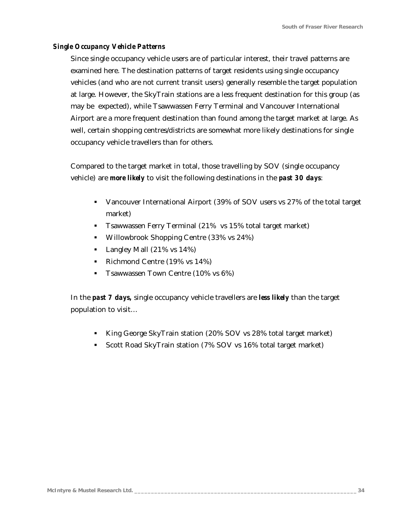#### *Single Occupancy Vehicle Patterns*

Since single occupancy vehicle users are of particular interest, their travel patterns are examined here. The destination patterns of target residents using single occupancy vehicles (and who are not current transit users) generally resemble the target population at large. However, the SkyTrain stations are a less frequent destination for this group (as may be expected), while Tsawwassen Ferry Terminal and Vancouver International Airport are a more frequent destination than found among the target market at large. As well, certain shopping centres/districts are somewhat more likely destinations for single occupancy vehicle travellers than for others.

Compared to the target market in total, those travelling by SOV (single occupancy vehicle) are *more likely* to visit the following destinations in the *past 30 days*:

- Vancouver International Airport (39% of SOV users vs 27% of the total target market)
- **Tsawwassen Ferry Terminal (21% vs 15% total target market)**
- Willowbrook Shopping Centre (33% vs 24%)
- **Langley Mall (21% vs 14%)**
- Richmond Centre  $(19\% \text{ vs } 14\%)$
- **The T**sawwassen Town Centre (10% vs  $6\%$ )

In the *past 7 days,* single occupancy vehicle travellers are *less likely* than the target population to visit…

- ß King George SkyTrain station (20% SOV vs 28% total target market)
- ß Scott Road SkyTrain station (7% SOV vs 16% total target market)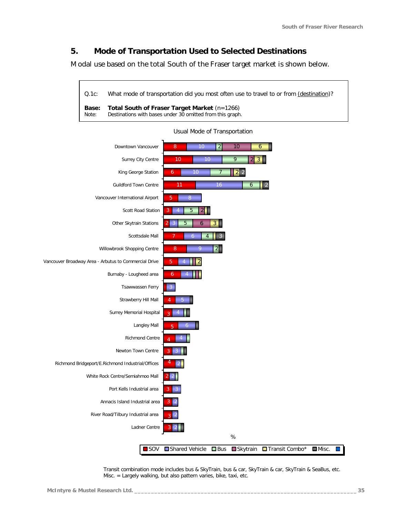## *5. Mode of Transportation Used to Selected Destinations*

Modal use based on the total South of the Fraser target market is shown below.

*Q.1c: What mode of transportation did you most often use to travel to or from (destination)? Base: Total South of Fraser Target Market (n=1266) Note: Destinations with bases under 30 omitted from this graph.*



Usual Mode of Transportation

Transit combination mode includes bus & SkyTrain, bus & car, SkyTrain & car, SkyTrain & SeaBus, etc. Misc. = Largely walking, but also pattern varies, bike, taxi, etc.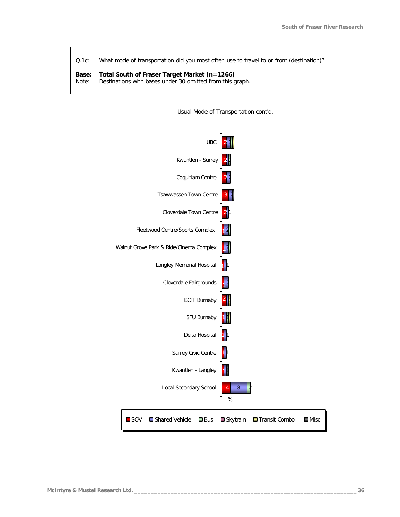*Q.1c: What mode of transportation did you most often use to travel to or from (destination)?*

## *Base: Total South of Fraser Target Market (n=1266)*

*Note: Destinations with bases under 30 omitted from this graph.*



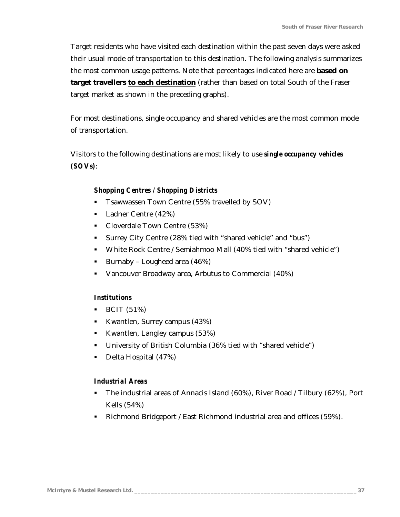Target residents who have visited each destination within the past seven days were asked their usual mode of transportation to this destination. The following analysis summarizes the most common usage patterns. Note that percentages indicated here are **based on** target travellers to each destination (rather than based on total South of the Fraser target market as shown in the preceding graphs).

For most destinations, single occupancy and shared vehicles are the most common mode of transportation.

Visitors to the following destinations are most likely to use *single occupancy vehicles (SOVs)*:

#### *Shopping Centres / Shopping Districts*

- **Take Town Centre (55% travelled by SOV)**
- Ladner Centre (42%)
- Cloverdale Town Centre (53%)
- **Surrey City Centre (28% tied with "shared vehicle" and "bus")**
- White Rock Centre / Semiahmoo Mall (40% tied with "shared vehicle")
- Burnaby Lougheed area  $(46%)$
- Vancouver Broadway area, Arbutus to Commercial (40%)

### *Institutions*

- $\bullet$  BCIT (51%)
- Kwantlen, Surrey campus  $(43\%)$
- Kwantlen, Langley campus  $(53%)$
- University of British Columbia (36% tied with "shared vehicle")
- Delta Hospital (47%)

### *Industrial Areas*

- ß The industrial areas of Annacis Island (60%), River Road / Tilbury (62%), Port Kells (54%)
- Richmond Bridgeport / East Richmond industrial area and offices (59%).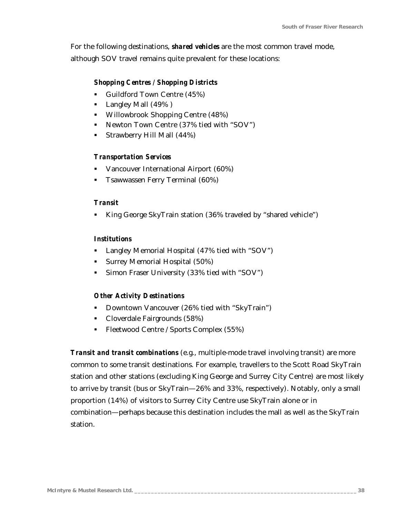For the following destinations, *shared vehicles* are the most common travel mode, although SOV travel remains quite prevalent for these locations:

### *Shopping Centres / Shopping Districts*

- Guildford Town Centre  $(45%)$
- **Langley Mall (49%)**
- **•** Willowbrook Shopping Centre (48%)
- Newton Town Centre (37% tied with "SOV")
- Strawberry Hill Mall  $(44\%)$

### *Transportation Services*

- ß Vancouver International Airport (60%)
- ß Tsawwassen Ferry Terminal (60%)

### *Transit*

ß King George SkyTrain station (36% traveled by "shared vehicle")

### *Institutions*

- Langley Memorial Hospital (47% tied with "SOV")
- **Surrey Memorial Hospital (50%)**
- ß Simon Fraser University (33% tied with "SOV")

### *Other Activity Destinations*

- **•** Downtown Vancouver (26% tied with "SkyTrain")
- Cloverdale Fairgrounds (58%)
- Fleetwood Centre / Sports Complex (55%)

*Transit and transit combinations* (e.g., multiple-mode travel involving transit) are more common to some transit destinations. For example, travellers to the Scott Road SkyTrain station and other stations (excluding King George and Surrey City Centre) are most likely to arrive by transit (bus or SkyTrain—26% and 33%, respectively). Notably, only a small proportion (14%) of visitors to Surrey City Centre use SkyTrain alone or in combination—perhaps because this destination includes the mall as well as the SkyTrain station.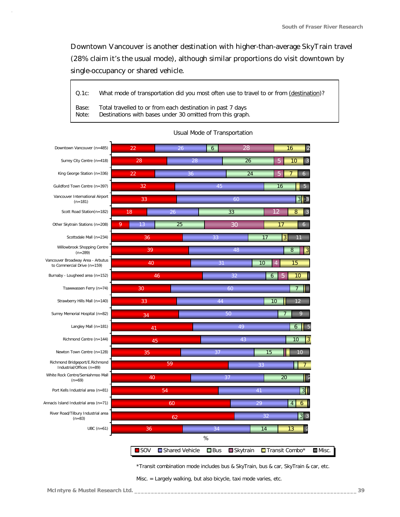Downtown Vancouver is another destination with higher-than-average SkyTrain travel (28% claim it's the usual mode), although similar proportions do visit downtown by single-occupancy or shared vehicle.

*Q.1c: What mode of transportation did you most often use to travel to or from (destination)?*

*Base: Total travelled to or from each destination in past 7 days Note: Destinations with bases under 30 omitted from this graph.*

| Downtown Vancouver (n=485)                                       | 22                 | 26             | 6          | 28             | 16<br>2              |                      |
|------------------------------------------------------------------|--------------------|----------------|------------|----------------|----------------------|----------------------|
| Surrey City Centre (n=418)                                       | 28                 | 28             |            | 26             | 10<br>3<br>5         |                      |
| King George Station (n=336)                                      | 22                 | 36             |            | 24             | 5<br>6               |                      |
| Guildford Town Centre (n=397)                                    | 32                 |                | 45         |                | 16<br>5              |                      |
| Vancouver International Airport<br>$(n=181)$                     | 33                 |                | 60         |                | 3 13                 |                      |
| Scott Road Station(n=182)                                        | 18                 | 26             | 33         |                | 8<br>12<br>3         |                      |
| Other Skytrain Stations (n=208)                                  | 9<br>13            | 25             | 30         |                | 17<br>6              |                      |
| Scottsdale Mall (n=234)                                          | 36                 |                | 33         | 17             | 3<br>11              |                      |
| Willowbrook Shopping Centre<br>$(n=289)$                         | 39                 |                | 48         |                | 8<br>3               |                      |
| Vancouver Broadway Area - Arbutus<br>to Commercial Drive (n=159) | 40                 |                | 31         | 10             | 15<br>$\overline{4}$ |                      |
| Burnaby - Lougheed area (n=152)                                  | 46                 |                | 32         | $\overline{6}$ | 10                   |                      |
| Tsawwassen Ferry (n=74)                                          | 30                 |                | 60         |                |                      |                      |
| Strawberry Hills Mall (n=140)                                    | 33                 |                | 44         |                | 10<br>12             |                      |
| Surrey Memorial Hospital (n=82)                                  | 34                 |                | 50         |                | Q                    |                      |
| Langley Mall (n=181)                                             | 41                 |                |            | 49             | 6                    |                      |
| Richmond Centre (n=144)                                          | 45                 |                |            | 43             | 10                   |                      |
| Newton Town Centre (n=128)                                       | 35                 |                | 37         | 15             | 10                   |                      |
| Richmond Bridgeport/E.Richmond<br>Industrial/Offices (n=89)      |                    | 59             |            | 33             |                      |                      |
| White Rock Centre/Semiahmoo Mall<br>$(n=69)$                     | 40                 |                | 37         |                | 20                   |                      |
| Port Kells Industrial area (n=81)                                |                    | 54             |            | 41             | 3                    |                      |
| Annacis Island Industrial area (n=71)                            |                    | 60             |            | 29             | $\overline{4}$<br>6  |                      |
| River Road/Tilbury Industrial area<br>$(n=83)$                   |                    | 62             |            | 32             | $3 \mid 3$           |                      |
| $UBC(n=61)$                                                      | 36                 |                | 34         | 14             | 13                   |                      |
|                                                                  |                    |                | $\%$       |                |                      |                      |
|                                                                  | $\blacksquare$ SOV | Shared Vehicle | $\Box$ Bus | Skytrain       | Transit Combo*       | $\blacksquare$ Misc. |

#### Usual Mode of Transportation

\*Transit combination mode includes bus & SkyTrain, bus & car, SkyTrain & car, etc.

Misc. = Largely walking, but also bicycle, taxi mode varies, etc.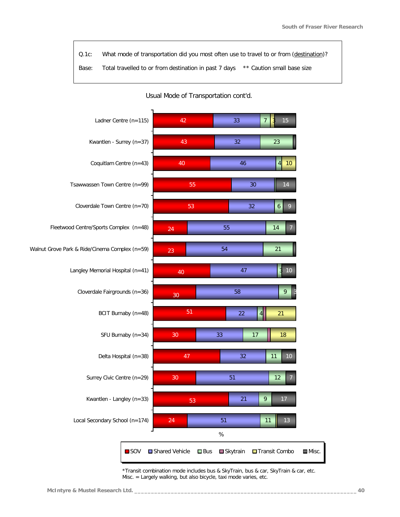*Q.1c: What mode of transportation did you most often use to travel to or from (destination)? Base: Total travelled to or from destination in past 7 days \*\* Caution small base size*

Usual Mode of Transportation cont'd.



\*Transit combination mode includes bus & SkyTrain, bus & car, SkyTrain & car, etc. Misc. = Largely walking, but also bicycle, taxi mode varies, etc.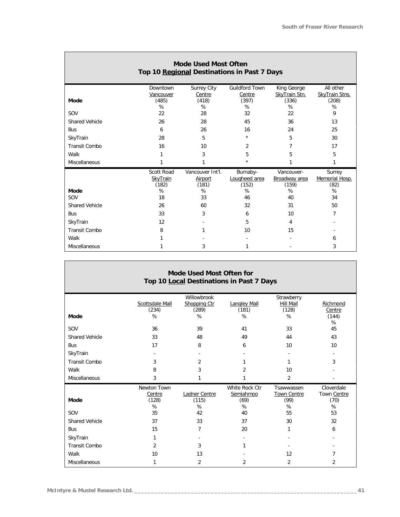### **Mode Used Most Often Top 10 Regional Destinations in Past 7 Days**

|                       | Downtown   | Surrey City      | Guildford Town | King George   | All other             |
|-----------------------|------------|------------------|----------------|---------------|-----------------------|
|                       | Vancouver  | Centre           | Centre         | SkyTrain Stn. | <b>SkyTrain Stns.</b> |
| Mode                  | (485)      | (418)            | (397)          | (336)         | (208)                 |
|                       | %          | %                | %              | %             | %                     |
| SOV                   | 22         | 28               | 32             | 22            | 9                     |
| <b>Shared Vehicle</b> | 26         | 28               | 45             | 36            | 13                    |
| <b>Bus</b>            | 6          | 26               | 16             | 24            | 25                    |
| SkyTrain              | 28         | 5                | $\star$        | 5             | 30                    |
| Transit Combo         | 16         | 10               | 2              | 7             | 17                    |
| Walk                  |            | 3                | 5              | 5             | 5                     |
| Miscellaneous         |            |                  | $\star$        |               |                       |
|                       |            |                  |                |               |                       |
|                       | Scott Road | Vancouver Int'l. | Burnaby-       | Vancouver-    | Surrey                |
|                       | SkyTrain   | Airport          | Lougheed area  | Broadway area | Memorial Hosp.        |
|                       | (182)      | (181)            | (152)          | (159)         | (82)                  |
| Mode                  | %          | %                | %              | %             | %                     |
| SOV                   | 18         | 33               | 46             | 40            | 34                    |
| <b>Shared Vehicle</b> | 26         | 60               | 32             | 31            | 50                    |
| <b>Bus</b>            | 33         | 3                | 6              | 10            | 7                     |
| SkyTrain              | 12         |                  | 5              | 4             |                       |
| Transit Combo         | 8          |                  | 10             | 15            |                       |
| Walk                  |            |                  |                |               | 6                     |

| Mode Used Most Often for<br>Top 10 Local Destinations in Past 7 Days |                                     |                                           |                                          |                                        |                                        |  |  |  |  |  |  |
|----------------------------------------------------------------------|-------------------------------------|-------------------------------------------|------------------------------------------|----------------------------------------|----------------------------------------|--|--|--|--|--|--|
| Mode                                                                 | Scottsdale Mall<br>(234)<br>%       | Willowbrook<br>Shopping Ctr<br>(289)<br>% | Langley Mall<br>(181)<br>%               | Strawberry<br>Hill Mall<br>(128)<br>%  | Richmond<br>Centre<br>(144)<br>%       |  |  |  |  |  |  |
| SOV                                                                  | 36                                  | 39                                        | 41                                       | 33                                     | 45                                     |  |  |  |  |  |  |
| <b>Shared Vehicle</b>                                                | 33                                  | 48                                        | 49                                       | 44                                     | 43                                     |  |  |  |  |  |  |
| <b>Bus</b>                                                           | 17                                  | 8                                         | 6                                        | 10                                     | 10                                     |  |  |  |  |  |  |
| SkyTrain                                                             |                                     |                                           |                                          |                                        | $\blacksquare$                         |  |  |  |  |  |  |
| Transit Combo                                                        | 3                                   | 2                                         | 1                                        | 1                                      | 3                                      |  |  |  |  |  |  |
| Walk                                                                 | 8                                   | 3                                         | 2                                        | 10                                     |                                        |  |  |  |  |  |  |
| Miscellaneous                                                        | 3                                   | 1                                         | 1                                        | $\overline{2}$                         |                                        |  |  |  |  |  |  |
| Mode                                                                 | Newton Town<br>Centre<br>(128)<br>% | Ladner Centre<br>(115)<br>%               | White Rock Ctr<br>Semiahmoo<br>(69)<br>% | Tsawwassen<br>Town Centre<br>(99)<br>% | Cloverdale<br>Town Centre<br>(70)<br>% |  |  |  |  |  |  |
| SOV                                                                  | 35                                  | 42                                        | 40                                       | 55                                     | 53                                     |  |  |  |  |  |  |
| Shared Vehicle                                                       | 37                                  | 33                                        | 37                                       | 30                                     | 32                                     |  |  |  |  |  |  |
| <b>Bus</b>                                                           | 15                                  | 7                                         | 20                                       | 1                                      | 6                                      |  |  |  |  |  |  |
| SkyTrain                                                             | 1                                   | ۰.                                        | ٠                                        |                                        |                                        |  |  |  |  |  |  |
| Transit Combo                                                        | $\overline{2}$                      | 3                                         | 1                                        |                                        |                                        |  |  |  |  |  |  |
| Walk                                                                 | 10                                  | 13                                        |                                          | 12                                     | 7                                      |  |  |  |  |  |  |
| Miscellaneous                                                        | 1                                   | 2                                         | 2                                        | $\overline{2}$                         | 2                                      |  |  |  |  |  |  |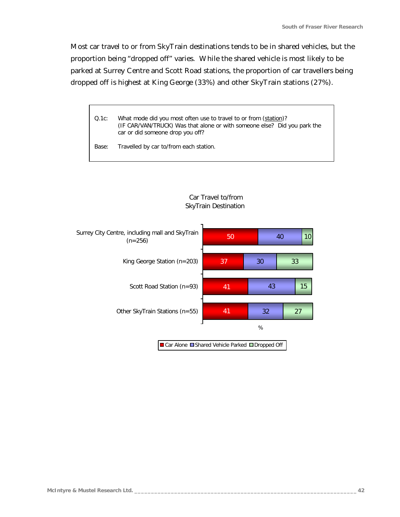Most car travel to or from SkyTrain destinations tends to be in shared vehicles, but the proportion being "dropped off" varies. While the shared vehicle is most likely to be parked at Surrey Centre and Scott Road stations, the proportion of car travellers being dropped off is highest at King George (33%) and other SkyTrain stations (27%).

*Q.1c: What mode did you most often use to travel to or from (station)? (IF CAR/VAN/TRUCK) Was that alone or with someone else? Did you park the car or did someone drop you off?*

*Base: Travelled by car to/from each station.*



#### Car Travel to/from SkyTrain Destination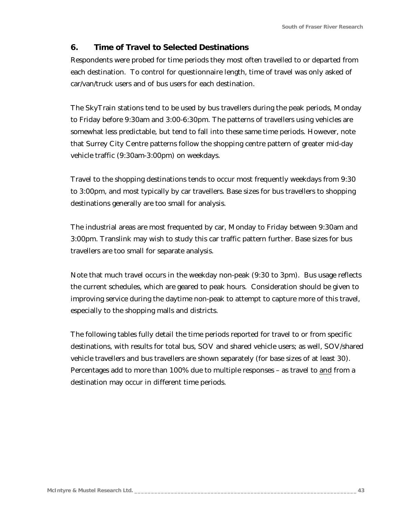## *6. Time of Travel to Selected Destinations*

Respondents were probed for time periods they most often travelled to or departed from each destination. To control for questionnaire length, time of travel was only asked of car/van/truck users and of bus users for each destination.

The SkyTrain stations tend to be used by bus travellers during the peak periods, Monday to Friday before 9:30am and 3:00-6:30pm. The patterns of travellers using vehicles are somewhat less predictable, but tend to fall into these same time periods. However, note that Surrey City Centre patterns follow the shopping centre pattern of greater mid-day vehicle traffic (9:30am-3:00pm) on weekdays.

Travel to the shopping destinations tends to occur most frequently weekdays from 9:30 to 3:00pm, and most typically by car travellers. Base sizes for bus travellers to shopping destinations generally are too small for analysis.

The industrial areas are most frequented by car, Monday to Friday between 9:30am and 3:00pm. Translink may wish to study this car traffic pattern further. Base sizes for bus travellers are too small for separate analysis.

Note that much travel occurs in the weekday non-peak (9:30 to 3pm). Bus usage reflects the current schedules, which are geared to peak hours. Consideration should be given to improving service during the daytime non-peak to attempt to capture more of this travel, especially to the shopping malls and districts.

The following tables fully detail the time periods reported for travel to or from specific destinations, with results for total bus, SOV and shared vehicle users; as well, SOV/shared vehicle travellers and bus travellers are shown separately (for base sizes of at least 30). Percentages add to more than 100% due to multiple responses - as travel to and from a destination may occur in different time periods.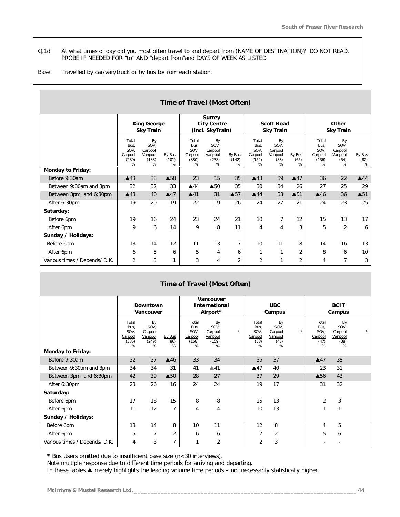*Q.1d: At what times of day did you most often travel to and depart from (NAME OF DESTINATION)? DO NOT READ. PROBE IF NEEDED FOR "to" AND "depart from"and DAYS OF WEEK AS LISTED*

*Base: Travelled by car/van/truck or by bus to/from each station.*

| Time of Travel (Most Often)   |                                                |                                                |                      |                                                |                                                         |                      |                                                |                                               |                        |                                                |                                               |                     |
|-------------------------------|------------------------------------------------|------------------------------------------------|----------------------|------------------------------------------------|---------------------------------------------------------|----------------------|------------------------------------------------|-----------------------------------------------|------------------------|------------------------------------------------|-----------------------------------------------|---------------------|
|                               | <b>King George</b><br><b>Sky Train</b>         |                                                |                      |                                                | <b>Surrey</b><br><b>City Centre</b><br>(incl. SkyTrain) |                      | <b>Scott Road</b><br><b>Sky Train</b>          |                                               |                        | Other<br><b>Sky Train</b>                      |                                               |                     |
| <b>Monday to Friday:</b>      | Total<br>Bus,<br>SOV,<br>Carpool<br>(289)<br>% | By<br>SOV,<br>Carpool<br>Vanpool<br>(188)<br>% | By Bus<br>(101)<br>% | Total<br>Bus,<br>SOV,<br>Carpool<br>(380)<br>% | By<br>SOV,<br>Carpool<br>Vanpool<br>(238)<br>%          | By Bus<br>(142)<br>% | Total<br>Bus,<br>SOV,<br>Carpool<br>(152)<br>% | By<br>SOV.<br>Carpool<br>Vanpool<br>(88)<br>% | By Bus<br>(65)<br>$\%$ | Total<br>Bus,<br>SOV,<br>Carpool<br>(136)<br>% | By<br>SOV,<br>Carpool<br>Vanpool<br>(54)<br>% | By Bus<br>(82)<br>% |
| Before 9:30am                 | $\triangle$ 43                                 | 38                                             | $\triangle$ 50       | 23                                             | 15                                                      | 35                   | $\triangle$ 43                                 | 39                                            | $\triangle 47$         | 36                                             | 22                                            | $\triangle$ 44      |
| Between 9:30am and 3pm        | 32                                             | 32                                             | 33                   | $\triangle$ 44                                 | $\triangle$ 50                                          | 35                   | 30                                             | 34                                            | 26                     | 27                                             | 25                                            | 29                  |
| Between 3pm and 6:30pm        | $\triangle$ 43                                 | 40                                             | $\triangle 47$       | $\blacktriangle$ 41                            | 31                                                      | $\triangle$ 57       | $\triangle$ 44                                 | 38                                            | $\triangle$ 51         | $\triangle$ 46                                 | 36                                            | $\blacktriangle$ 51 |
| After 6:30pm                  | 19                                             | 20                                             | 19                   | 22                                             | 19                                                      | 26                   | 24                                             | 27                                            | 21                     | 24                                             | 23                                            | 25                  |
| Saturday:                     |                                                |                                                |                      |                                                |                                                         |                      |                                                |                                               |                        |                                                |                                               |                     |
| Before 6pm                    | 19                                             | 16                                             | 24                   | 23                                             | 24                                                      | 21                   | 10                                             | 7                                             | 12                     | 15                                             | 13                                            | 17                  |
| After 6pm                     | 9                                              | 6                                              | 14                   | 9                                              | 8                                                       | 11                   | 4                                              | $\overline{4}$                                | 3                      | 5                                              | 2                                             | 6                   |
| Sunday / Holidays:            |                                                |                                                |                      |                                                |                                                         |                      |                                                |                                               |                        |                                                |                                               |                     |
| Before 6pm                    | 13                                             | 14                                             | 12                   | 11                                             | 13                                                      | $\overline{7}$       | 10                                             | 11                                            | 8                      | 14                                             | 16                                            | 13                  |
| After 6pm                     | 6                                              | 5                                              | 6                    | 5                                              | 4                                                       | 6                    | 1                                              | 1                                             | $\overline{2}$         | 8                                              | 6                                             | 10                  |
| Various times / Depends/ D.K. | 2                                              | 3                                              |                      | 3                                              | 4                                                       | 2                    | 2                                              | 1                                             | $\overline{2}$         | 4                                              | 7                                             | 3                   |

| Time of Travel (Most Often)   |                                                |                                                |                     |                                                |                                                |         |                                               |                                               |          |                                               |                                               |  |
|-------------------------------|------------------------------------------------|------------------------------------------------|---------------------|------------------------------------------------|------------------------------------------------|---------|-----------------------------------------------|-----------------------------------------------|----------|-----------------------------------------------|-----------------------------------------------|--|
|                               | Downtown<br>Vancouver                          |                                                |                     | Vancouver<br><b>International</b><br>Airport*  |                                                |         | <b>UBC</b><br>Campus                          |                                               |          | <b>BCIT</b><br>Campus                         |                                               |  |
| <b>Monday to Friday:</b>      | Total<br>Bus.<br>SOV,<br>Carpool<br>(335)<br>% | By<br>SOV.<br>Carpool<br>Vanpool<br>(249)<br>% | By Bus<br>(86)<br>% | Total<br>Bus.<br>SOV,<br>Carpool<br>(168)<br>% | By<br>SOV.<br>Carpool<br>Vanpool<br>(159)<br>% | $\star$ | Total<br>Bus.<br>SOV,<br>Carpool<br>(58)<br>% | By<br>SOV.<br>Carpool<br>Vanpool<br>(45)<br>% | $^\star$ | Total<br>Bus.<br>SOV,<br>Carpool<br>(47)<br>% | By<br>SOV.<br>Carpool<br>Vanpool<br>(38)<br>% |  |
| Before 9:30am                 | 32                                             | 27                                             | $\triangle$ 46      | 33                                             | 34                                             |         | 35                                            | 37                                            |          | $\triangle 47$                                | 38                                            |  |
| Between 9:30am and 3pm        | 34                                             | 34                                             | 31                  | 41                                             | $\triangle$ 41                                 |         | A47                                           | 40                                            |          | 23                                            | 31                                            |  |
| Between 3pm and 6:30pm        | 42                                             | 39                                             | $\triangle$ 50      | 28                                             | 27                                             |         | 37                                            | 29                                            |          | $\triangle$ 56                                | 43                                            |  |
| After 6:30pm                  | 23                                             | 26                                             | 16                  | 24                                             | 24                                             |         | 19                                            | 17                                            |          | 31                                            | 32                                            |  |
| Saturday:                     |                                                |                                                |                     |                                                |                                                |         |                                               |                                               |          |                                               |                                               |  |
| Before 6pm                    | 17                                             | 18                                             | 15                  | 8                                              | 8                                              |         | 15                                            | 13                                            |          | 2                                             | 3                                             |  |
| After 6pm                     | 11                                             | 12                                             | $\overline{7}$      | 4                                              | 4                                              |         | 10                                            | 13                                            |          | 1                                             | $\mathbf{1}$                                  |  |
| Sunday / Holidays:            |                                                |                                                |                     |                                                |                                                |         |                                               |                                               |          |                                               |                                               |  |
| Before 6pm                    | 13                                             | 14                                             | 8                   | 10                                             | 11                                             |         | 12                                            | 8                                             |          | 4                                             | 5                                             |  |
| After 6pm                     | 5                                              | $\overline{7}$                                 | $\overline{2}$      | 6                                              | 6                                              |         | $\overline{7}$                                | $\overline{2}$                                |          | 5                                             | 6                                             |  |
| Various times / Depends/ D.K. | 4                                              | 3                                              | $\overline{7}$      | 1                                              | $\overline{2}$                                 |         | $\overline{2}$                                | 3                                             |          |                                               |                                               |  |

*\* Bus Users omitted due to insufficient base size (n<30 interviews).*

*Note multiple response due to different time periods for arriving and departing.*

*In these tables s merely highlights the leading volume time periods – not necessarily statistically higher.*

 $\overline{\phantom{a}}$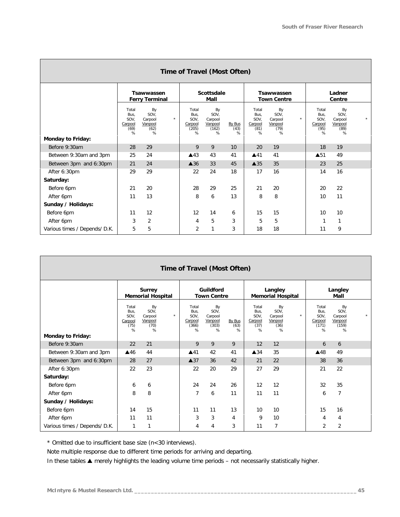| Time of Travel (Most Often)   |                                               |                                                           |                                                |                                                |                     |                                               |                                               |          |                                               |                                               |         |  |
|-------------------------------|-----------------------------------------------|-----------------------------------------------------------|------------------------------------------------|------------------------------------------------|---------------------|-----------------------------------------------|-----------------------------------------------|----------|-----------------------------------------------|-----------------------------------------------|---------|--|
|                               | <b>Tsawwassen</b><br><b>Ferry Terminal</b>    |                                                           |                                                | <b>Scottsdale</b><br>Mall                      |                     |                                               | <b>Tsawwassen</b><br><b>Town Centre</b>       |          |                                               | Ladner<br>Centre                              |         |  |
| Monday to Friday:             | Total<br>Bus,<br>SOV,<br>Carpool<br>(69)<br>% | By<br>SOV,<br>$^\star$<br>Carpool<br>Vanpool<br>(62)<br>% | Total<br>Bus,<br>SOV,<br>Carpool<br>(205)<br>% | By<br>SOV,<br>Carpool<br>Vanpool<br>(162)<br>% | By Bus<br>(43)<br>% | Total<br>Bus,<br>SOV,<br>Carpool<br>(81)<br>% | By<br>SOV,<br>Carpool<br>Vanpool<br>(79)<br>% | $^\star$ | Total<br>Bus,<br>SOV,<br>Carpool<br>(95)<br>% | By<br>SOV,<br>Carpool<br>Vanpool<br>(89)<br>% | $\star$ |  |
| Before 9:30am                 | 28                                            | 29                                                        | 9                                              | 9                                              | 10                  | 20                                            | 19                                            |          | 18                                            | 19                                            |         |  |
| Between 9:30am and 3pm        | 25                                            | 24                                                        | $\triangle$ 43                                 | 43                                             | 41                  | A41                                           | 41                                            |          | $\blacktriangle$ 51                           | 49                                            |         |  |
| Between 3pm and 6:30pm        | 21                                            | 24                                                        | $\triangle$ 36                                 | 33                                             | 45                  | $\triangle$ 35                                | 35                                            |          | 23                                            | 25                                            |         |  |
| After 6:30pm                  | 29                                            | 29                                                        | 22                                             | 24                                             | 18                  | 17                                            | 16                                            |          | 14                                            | 16                                            |         |  |
| Saturday:                     |                                               |                                                           |                                                |                                                |                     |                                               |                                               |          |                                               |                                               |         |  |
| Before 6pm                    | 21                                            | 20                                                        | 28                                             | 29                                             | 25                  | 21                                            | 20                                            |          | 20                                            | 22                                            |         |  |
| After 6pm                     | 11                                            | 13                                                        | 8                                              | 6                                              | 13                  | 8                                             | 8                                             |          | 10                                            | 11                                            |         |  |
| Sunday / Holidays:            |                                               |                                                           |                                                |                                                |                     |                                               |                                               |          |                                               |                                               |         |  |
| Before 6pm                    | 11                                            | 12                                                        | 12                                             | 14                                             | 6                   | 15                                            | 15                                            |          | 10                                            | 10                                            |         |  |
| After 6pm                     | 3                                             | $\overline{2}$                                            | 4                                              | 5                                              | 3                   | 5                                             | 5                                             |          |                                               | 1                                             |         |  |
| Various times / Depends/ D.K. | 5                                             | 5                                                         | $\overline{2}$                                 | 1                                              | 3                   | 18                                            | 18                                            |          | 11                                            | 9                                             |         |  |

| Time of Travel (Most Often)   |                                               |                                               |         |                                                |                                                |                     |                                               |                                               |         |                                                |                                                |         |  |
|-------------------------------|-----------------------------------------------|-----------------------------------------------|---------|------------------------------------------------|------------------------------------------------|---------------------|-----------------------------------------------|-----------------------------------------------|---------|------------------------------------------------|------------------------------------------------|---------|--|
|                               | <b>Surrey</b><br><b>Memorial Hospital</b>     |                                               |         |                                                | Guildford<br><b>Town Centre</b>                |                     |                                               | Langley<br><b>Memorial Hospital</b>           |         |                                                | Langley<br>Mall                                |         |  |
| <b>Monday to Friday:</b>      | Total<br>Bus,<br>SOV,<br>Carpool<br>(75)<br>% | By<br>SOV.<br>Carpool<br>Vanpool<br>(70)<br>% | $\star$ | Total<br>Bus.<br>SOV,<br>Carpool<br>(366)<br>% | By<br>SOV,<br>Carpool<br>Vanpool<br>(303)<br>% | By Bus<br>(63)<br>% | Total<br>Bus,<br>SOV,<br>Carpool<br>(37)<br>% | By<br>SOV.<br>Carpool<br>Vanpool<br>(36)<br>% | $\star$ | Total<br>Bus,<br>SOV,<br>Carpool<br>(171)<br>% | By<br>SOV.<br>Carpool<br>Vanpool<br>(159)<br>% | $\star$ |  |
| Before 9:30am                 | 22                                            | 21                                            |         | 9                                              | 9                                              | 9                   | 12                                            | 12                                            |         | 6                                              | 6                                              |         |  |
| Between 9:30am and 3pm        | $\triangle$ 46                                | 44                                            |         | A41                                            | 42                                             | 41                  | $\triangle$ 34                                | 35                                            |         | $\triangle$ 48                                 | 49                                             |         |  |
| Between 3pm and 6:30pm        | 28                                            | 27                                            |         | $\triangle$ 37                                 | 36                                             | 42                  | 21                                            | 22                                            |         | 38                                             | 36                                             |         |  |
| After 6:30pm                  | 22                                            | 23                                            |         | 22                                             | 20                                             | 29                  | 27                                            | 29                                            |         | 21                                             | 22                                             |         |  |
| Saturday:                     |                                               |                                               |         |                                                |                                                |                     |                                               |                                               |         |                                                |                                                |         |  |
| Before 6pm                    | 6                                             | 6                                             |         | 24                                             | 24                                             | 26                  | 12                                            | 12                                            |         | 32                                             | 35                                             |         |  |
| After 6pm                     | 8                                             | 8                                             |         | $\overline{7}$                                 | 6                                              | 11                  | 11                                            | 11                                            |         | 6                                              | $\overline{7}$                                 |         |  |
| Sunday / Holidays:            |                                               |                                               |         |                                                |                                                |                     |                                               |                                               |         |                                                |                                                |         |  |
| Before 6pm                    | 14                                            | 15                                            |         | 11                                             | 11                                             | 13                  | 10                                            | 10                                            |         | 15                                             | 16                                             |         |  |
| After 6pm                     | 11                                            | 11                                            |         | 3                                              | 3                                              | $\overline{4}$      | 9                                             | 10                                            |         | 4                                              | 4                                              |         |  |
| Various times / Depends/ D.K. | 1                                             | 1                                             |         | 4                                              | 4                                              | 3                   | 11                                            | $\overline{7}$                                |         | $\overline{2}$                                 | $\overline{2}$                                 |         |  |

*\* Omitted due to insufficient base size (n<30 interviews).*

*Note multiple response due to different time periods for arriving and departing.*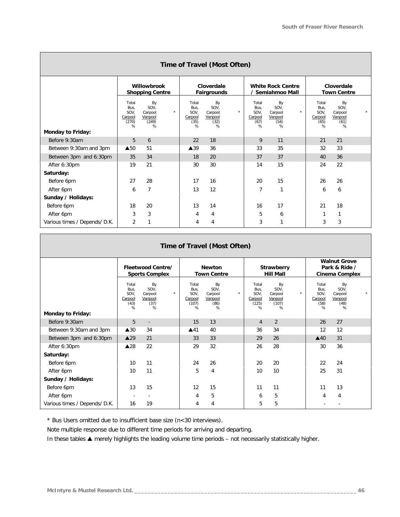| Time of Travel (Most Often)   |                                                |                                                           |                                               |                                               |         |                                               |                                               |         |                                               |                                               |         |  |
|-------------------------------|------------------------------------------------|-----------------------------------------------------------|-----------------------------------------------|-----------------------------------------------|---------|-----------------------------------------------|-----------------------------------------------|---------|-----------------------------------------------|-----------------------------------------------|---------|--|
|                               |                                                | Willowbrook<br><b>Shopping Centre</b>                     |                                               | Cloverdale<br>Fairgrounds                     |         |                                               | <b>White Rock Centre</b><br>/ Semiahmoo Mall  |         |                                               | Cloverdale<br><b>Town Centre</b>              |         |  |
| <b>Monday to Friday:</b>      | Total<br>Bus.<br>SOV,<br>Carpool<br>(270)<br>% | By<br>SOV.<br>$\star$<br>Carpool<br>Vanpool<br>(249)<br>% | Total<br>Bus.<br>SOV,<br>Carpool<br>(35)<br>% | By<br>SOV.<br>Carpool<br>Vanpool<br>(32)<br>% | $\star$ | Total<br>Bus,<br>SOV,<br>Carpool<br>(67)<br>% | By<br>SOV.<br>Carpool<br>Vanpool<br>(54)<br>% | $\star$ | Total<br>Bus,<br>SOV,<br>Carpool<br>(65)<br>% | By<br>SOV.<br>Carpool<br>Vanpool<br>(61)<br>% | $\star$ |  |
| Before 9:30am                 | 5                                              | 6                                                         | 22                                            | 18                                            |         | 9                                             | 11                                            |         | 21                                            | 21                                            |         |  |
| Between 9:30am and 3pm        | $\triangle$ 50                                 | 51                                                        | $\blacktriangle$ 39                           | 36                                            |         | 33                                            | 35                                            |         | 32                                            | 33                                            |         |  |
| Between 3pm and 6:30pm        | 35                                             | 34                                                        | 18                                            | 20                                            |         | 37                                            | 37                                            |         | 40                                            | 36                                            |         |  |
| After 6:30pm                  | 19                                             | 21                                                        | 30                                            | 30                                            |         | 14                                            | 15                                            |         | 24                                            | 22                                            |         |  |
| Saturday:                     |                                                |                                                           |                                               |                                               |         |                                               |                                               |         |                                               |                                               |         |  |
| Before 6pm                    | 27                                             | 28                                                        | 17                                            | 16                                            |         | 20                                            | 15                                            |         | 26                                            | 26                                            |         |  |
| After 6pm                     | 6                                              | 7                                                         | 13                                            | 12                                            |         | 7                                             | $\mathbf{1}$                                  |         | 6                                             | 6                                             |         |  |
| Sunday / Holidays:            |                                                |                                                           |                                               |                                               |         |                                               |                                               |         |                                               |                                               |         |  |
| Before 6pm                    | 18                                             | 20                                                        | 13                                            | 14                                            |         | 16                                            | 17                                            |         | 21                                            | 18                                            |         |  |
| After 6pm                     | 3                                              | 3                                                         | 4                                             | 4                                             |         | 5                                             | 6                                             |         |                                               | 1                                             |         |  |
| Various times / Depends/ D.K. | $\overline{2}$                                 | 1                                                         | 4                                             | 4                                             |         | 3                                             | 1                                             |         | 3                                             | 3                                             |         |  |

#### **Time of Travel (Most Often) Fleetwood Centre/ Sports Complex Newton Town Centre Strawberry Hill Mall Walnut Grove Park & Ride / Cinema Complex** Total Bus, SOV, **Carpool** (43)  $\frac{1}{2}$ By SOV, Carpool Vanpool  $(37)$  $\frac{1}{2}$ \* Total Bus, SOV, **Carpool** (107)  $\frac{1}{2}$ By SOV, Carpool Vanpool (86)  $\frac{1}{2}$ \* Total Bus, SOV, Carpool (125)  $\frac{1}{2}$ By SOV, Carpool Vanpool (107)  $\alpha$ \* Total Bus, SOV, Carpool (58)  $\frac{6}{6}$ By SOV, Carpool Vanpool (48)  $\frac{1}{2}$ \* **Monday to Friday:** Before 9:30am 5 - 15 13 4 2 26 27 Between 9:30am and 3pm  $\begin{array}{|c|c|c|c|c|c|c|c|}\n\hline\n& 36 & 34 & 36 & 34 & 12 & 12\n\end{array}$  Between 3pm and 6:30pm s29 21 33 33 29 26 s40 31 After 6:30pm s28 22 29 32 26 28 30 36 **Saturday:** Before 6pm 10 10 11 24 26 20 20 22 24 After 6pm 10 10 11 10 5 4 10 10 10 25 31 **Sunday / Holidays:** Before 6pm 13 15 12 15 11 11 11 11 13 After 6pm 4 5 6 5 4 4 Various times / Depends/ D.K. | 16 19 | 4 4 | 5 5 | - -

*\* Bus Users omitted due to insufficient base size (n<30 interviews).*

*Note multiple response due to different time periods for arriving and departing.*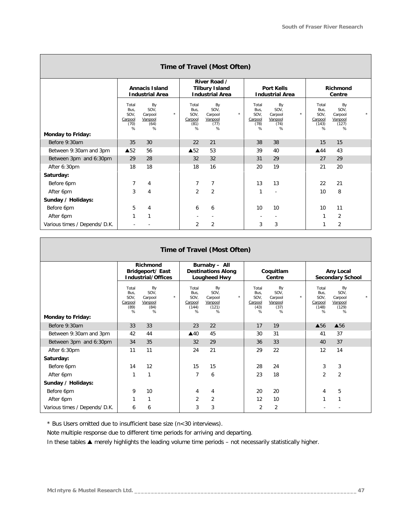| Time of Travel (Most Often)   |                                                 |                                                           |                                               |                                                                 |          |                                               |                                               |         |                                                |                                                |         |  |
|-------------------------------|-------------------------------------------------|-----------------------------------------------------------|-----------------------------------------------|-----------------------------------------------------------------|----------|-----------------------------------------------|-----------------------------------------------|---------|------------------------------------------------|------------------------------------------------|---------|--|
|                               | <b>Annacis Island</b><br><b>Industrial Area</b> |                                                           |                                               | River Road /<br><b>Tilbury Island</b><br><b>Industrial Area</b> |          |                                               | <b>Port Kells</b><br><b>Industrial Area</b>   |         |                                                | Richmond<br>Centre                             |         |  |
|                               | Total<br>Bus,<br>SOV,<br>Carpool<br>(70)<br>%   | By<br>SOV.<br>$^\star$<br>Carpool<br>Vanpool<br>(64)<br>% | Total<br>Bus,<br>SOV,<br>Carpool<br>(81)<br>% | By<br>SOV,<br>Carpool<br>Vanpool<br>(77)<br>%                   | $^\star$ | Total<br>Bus,<br>SOV.<br>Carpool<br>(78)<br>% | By<br>SOV,<br>Carpool<br>Vanpool<br>(74)<br>% | $\star$ | Total<br>Bus,<br>SOV.<br>Carpool<br>(143)<br>% | By<br>SOV,<br>Carpool<br>Vanpool<br>(127)<br>% | $\star$ |  |
| <b>Monday to Friday:</b>      |                                                 |                                                           |                                               |                                                                 |          |                                               |                                               |         |                                                |                                                |         |  |
| Before 9:30am                 | 35                                              | 30                                                        | 22                                            | 21                                                              |          | 38                                            | 38                                            |         | 15                                             | 15                                             |         |  |
| Between 9:30am and 3pm        | $\triangle$ 52                                  | 56                                                        | $\triangle$ 52                                | 53                                                              |          | 39                                            | 40                                            |         | $\triangle$ 44                                 | 43                                             |         |  |
| Between 3pm and 6:30pm        | 29                                              | 28                                                        | 32                                            | 32                                                              |          | 31                                            | 29                                            |         | 27                                             | 29                                             |         |  |
| After 6:30pm                  | 18                                              | 18                                                        | 18                                            | 16                                                              |          | 20                                            | 19                                            |         | 21                                             | 20                                             |         |  |
| Saturday:                     |                                                 |                                                           |                                               |                                                                 |          |                                               |                                               |         |                                                |                                                |         |  |
| Before 6pm                    | $\overline{7}$                                  | 4                                                         | 7                                             | 7                                                               |          | 13                                            | 13                                            |         | 22                                             | 21                                             |         |  |
| After 6pm                     | 3                                               | 4                                                         | $\overline{2}$                                | 2                                                               |          | 1                                             |                                               |         | 10                                             | 8                                              |         |  |
| Sunday / Holidays:            |                                                 |                                                           |                                               |                                                                 |          |                                               |                                               |         |                                                |                                                |         |  |
| Before 6pm                    | 5                                               | 4                                                         | 6                                             | 6                                                               |          | 10                                            | 10                                            |         | 10                                             | 11                                             |         |  |
| After 6pm                     | 1                                               | $\mathbf{1}$                                              |                                               |                                                                 |          |                                               | ۰.                                            |         | 1                                              | 2                                              |         |  |
| Various times / Depends/ D.K. |                                                 |                                                           | 2                                             | 2                                                               |          | 3                                             | 3                                             |         |                                                | 2                                              |         |  |

|                               |                                               | Richmond                                      |              |                                                | Burnaby - All                                  |         |                                               |                                               |                         |                                                |                                                |         |
|-------------------------------|-----------------------------------------------|-----------------------------------------------|--------------|------------------------------------------------|------------------------------------------------|---------|-----------------------------------------------|-----------------------------------------------|-------------------------|------------------------------------------------|------------------------------------------------|---------|
|                               |                                               | Bridgeport/ East                              |              | <b>Destinations Along</b>                      |                                                |         | Coquitlam                                     |                                               |                         |                                                | Any Local                                      |         |
|                               | <b>Industrial/Offices</b>                     |                                               | Lougheed Hwy |                                                |                                                | Centre  |                                               |                                               | <b>Secondary School</b> |                                                |                                                |         |
| <b>Monday to Friday:</b>      | Total<br>Bus.<br>SOV,<br>Carpool<br>(89)<br>% | By<br>SOV,<br>Carpool<br>Vanpool<br>(84)<br>% | $\star$      | Total<br>Bus.<br>SOV,<br>Carpool<br>(144)<br>% | By<br>SOV.<br>Carpool<br>Vanpool<br>(121)<br>% | $\star$ | Total<br>Bus,<br>SOV,<br>Carpool<br>(43)<br>% | By<br>SOV.<br>Carpool<br>Vanpool<br>(37)<br>% | $\star$                 | Total<br>Bus,<br>SOV,<br>Carpool<br>(148)<br>% | By<br>SOV.<br>Carpool<br>Vanpool<br>(129)<br>% | $\star$ |
|                               |                                               |                                               |              |                                                |                                                |         |                                               |                                               |                         |                                                |                                                |         |
| Before 9:30am                 | 33                                            | 33                                            |              | 23                                             | 22                                             |         | 17                                            | 19                                            |                         | ▲56                                            | $\triangle$ 56                                 |         |
| Between 9:30am and 3pm        | 42                                            | 44                                            |              | $\triangle$ 40                                 | 45                                             |         | 30                                            | 31                                            |                         | 41                                             | 37                                             |         |
| Between 3pm and 6:30pm        | 34                                            | 35                                            |              | 32                                             | 29                                             |         | 36                                            | 33                                            |                         | 40                                             | 37                                             |         |
| After 6:30pm                  | 11                                            | 11                                            |              | 24                                             | 21                                             |         | 29                                            | 22                                            |                         | 12                                             | 14                                             |         |
| Saturday:                     |                                               |                                               |              |                                                |                                                |         |                                               |                                               |                         |                                                |                                                |         |
| Before 6pm                    | 14                                            | 12                                            |              | 15                                             | 15                                             |         | 28                                            | 24                                            |                         | 3                                              | 3                                              |         |
| After 6pm                     | 1                                             | 1                                             |              | $\overline{7}$                                 | 6                                              |         | 23                                            | 18                                            |                         | $\overline{2}$                                 | $\overline{2}$                                 |         |
| Sunday / Holidays:            |                                               |                                               |              |                                                |                                                |         |                                               |                                               |                         |                                                |                                                |         |
| Before 6pm                    | 9                                             | 10                                            |              | 4                                              | 4                                              |         | 20                                            | 20                                            |                         | 4                                              | 5                                              |         |
| After 6pm                     |                                               | 1                                             |              | $\overline{2}$                                 | $\overline{2}$                                 |         | 12                                            | 10                                            |                         | 1                                              | и                                              |         |
| Various times / Depends/ D.K. | 6                                             | 6                                             |              | 3                                              | 3                                              |         | $\overline{2}$                                | $\overline{2}$                                |                         |                                                |                                                |         |

*\* Bus Users omitted due to insufficient base size (n<30 interviews).*

*Note multiple response due to different time periods for arriving and departing.*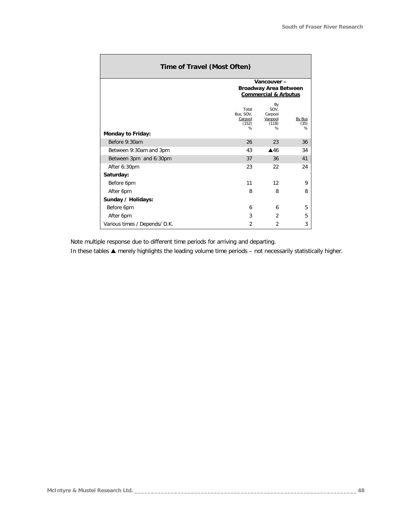| Time of Travel (Most Often)   |                                                                 |                                                |                     |  |  |  |  |  |  |  |
|-------------------------------|-----------------------------------------------------------------|------------------------------------------------|---------------------|--|--|--|--|--|--|--|
|                               |                                                                 | Vancouver-                                     |                     |  |  |  |  |  |  |  |
|                               | <b>Broadway Area Between</b><br><b>Commercial &amp; Arbutus</b> |                                                |                     |  |  |  |  |  |  |  |
|                               |                                                                 |                                                |                     |  |  |  |  |  |  |  |
|                               | Total<br>Bus, SOV,<br>Carpool<br>(152)<br>%                     | By<br>SOV.<br>Carpool<br>Vanpool<br>(118)<br>% | By Bus<br>(35)<br>% |  |  |  |  |  |  |  |
| Monday to Friday:             |                                                                 |                                                |                     |  |  |  |  |  |  |  |
| Before 9:30am                 | 26                                                              | 23                                             | 36                  |  |  |  |  |  |  |  |
| Between 9:30am and 3pm        | 43                                                              | $\triangle$ 46                                 | 34                  |  |  |  |  |  |  |  |
| Between 3pm and 6:30pm        | 37                                                              | 36                                             | 41                  |  |  |  |  |  |  |  |
| After 6:30pm                  | 23                                                              | 22                                             | 24                  |  |  |  |  |  |  |  |
| Saturday:                     |                                                                 |                                                |                     |  |  |  |  |  |  |  |
| Before 6pm                    | 11                                                              | 12                                             | 9                   |  |  |  |  |  |  |  |
| After 6pm                     | 8                                                               | 8                                              | 8                   |  |  |  |  |  |  |  |
| Sunday / Holidays:            |                                                                 |                                                |                     |  |  |  |  |  |  |  |
| Before 6pm                    | 6                                                               | 6                                              | 5                   |  |  |  |  |  |  |  |
| After 6pm                     | 3                                                               | 2                                              | 5                   |  |  |  |  |  |  |  |
| Various times / Depends/ D.K. | $\overline{2}$                                                  | $\overline{2}$                                 | 3                   |  |  |  |  |  |  |  |

*Note multiple response due to different time periods for arriving and departing.*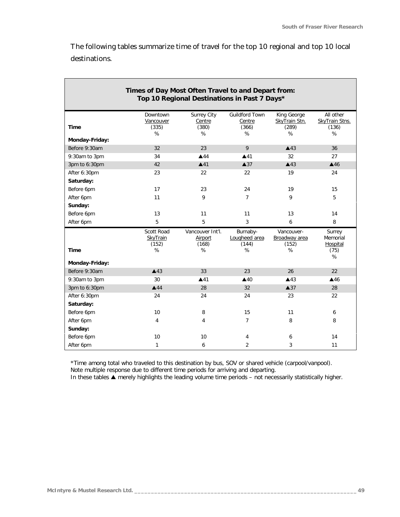The following tables summarize time of travel for the top 10 regional and top 10 local destinations.

| Times of Day Most Often Travel to and Depart from:<br>Top 10 Regional Destinations in Past 7 Days* |                                      |                                           |                                               |                                            |                                           |
|----------------------------------------------------------------------------------------------------|--------------------------------------|-------------------------------------------|-----------------------------------------------|--------------------------------------------|-------------------------------------------|
| Time                                                                                               | Downtown<br>Vancouver<br>(335)<br>℅  | Surrey City<br>Centre<br>(380)<br>%       | <b>Guildford Town</b><br>Centre<br>(366)<br>℅ | King George<br>SkyTrain Stn.<br>(289)<br>% | All other<br>SkyTrain Stns.<br>(136)<br>% |
| Monday-Friday:                                                                                     |                                      |                                           |                                               |                                            |                                           |
| Before 9:30am                                                                                      | 32                                   | 23                                        | 9                                             | $\triangle$ 43                             | 36                                        |
| 9:30am to 3pm                                                                                      | 34                                   | $\triangle$ 44                            | $\blacktriangle$ 41                           | 32                                         | 27                                        |
| 3pm to 6:30pm                                                                                      | 42                                   | $\triangle$ 41                            | $\triangle$ 37                                | $\triangle$ 43                             | $\triangle$ 46                            |
| After 6:30pm                                                                                       | 23                                   | 22                                        | 22                                            | 19                                         | 24                                        |
| Saturday:                                                                                          |                                      |                                           |                                               |                                            |                                           |
| Before 6pm                                                                                         | 17                                   | 23                                        | 24                                            | 19                                         | 15                                        |
| After 6pm                                                                                          | 11                                   | 9                                         | $\overline{7}$                                | 9                                          | 5                                         |
| Sunday:                                                                                            |                                      |                                           |                                               |                                            |                                           |
| Before 6pm                                                                                         | 13                                   | 11                                        | 11                                            | 13                                         | 14                                        |
| After 6pm                                                                                          | 5                                    | 5                                         | $\overline{3}$                                | 6                                          | 8                                         |
|                                                                                                    |                                      |                                           |                                               |                                            |                                           |
| <b>Time</b>                                                                                        | Scott Road<br>SkyTrain<br>(152)<br>% | Vancouver Int'l.<br>Airport<br>(168)<br>% | Burnaby-<br>Lougheed area<br>(144)<br>%       | Vancouver-<br>Broadway area<br>(152)<br>%  | Surrey<br>Memorial<br>Hospital<br>(75)    |
| Monday-Friday:                                                                                     |                                      |                                           |                                               |                                            | %                                         |
| Before 9:30am                                                                                      | $\triangle$ 43                       | 33                                        | 23                                            | 26                                         | 22                                        |
| 9:30am to 3pm                                                                                      | 30                                   | $\blacktriangle$ 41                       | $\triangle$ 40                                | $\triangle$ 43                             | $\triangle$ 46                            |
| 3pm to 6:30pm                                                                                      | $\triangle$ 44                       | 28                                        | 32 <sup>2</sup>                               | $\triangle 37$                             | 28                                        |
| After 6:30pm                                                                                       | 24                                   | 24                                        | 24                                            | 23                                         | 22                                        |
| Saturday:                                                                                          |                                      |                                           |                                               |                                            |                                           |
| Before 6pm                                                                                         | 10                                   | 8                                         | 15                                            | 11                                         | 6                                         |
| After 6pm                                                                                          | 4                                    | 4                                         | $\overline{7}$                                | 8                                          | 8                                         |
| Sunday:                                                                                            |                                      |                                           |                                               |                                            |                                           |
| Before 6pm                                                                                         | 10                                   | 10                                        | 4                                             | 6                                          | 14                                        |

*\*Time among total who traveled to this destination by bus, SOV or shared vehicle (carpool/vanpool). Note multiple response due to different time periods for arriving and departing.*

*In these tables s merely highlights the leading volume time periods – not necessarily statistically higher.*

 $\overline{\phantom{a}}$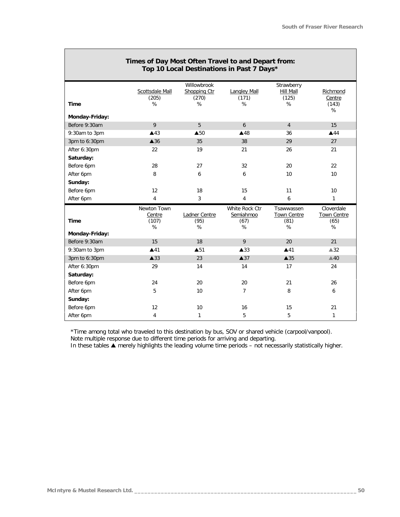| Top TO Local Destinations in Past 7 Days |                          |                                      |                              |                                  |                          |
|------------------------------------------|--------------------------|--------------------------------------|------------------------------|----------------------------------|--------------------------|
|                                          | Scottsdale Mall<br>(205) | Willowbrook<br>Shopping Ctr<br>(270) | <b>Langley Mall</b><br>(171) | Strawberry<br>Hill Mall<br>(125) | Richmond<br>Centre       |
| <b>Time</b>                              | %                        | %                                    | $\%$                         | %                                | (143)<br>%               |
| Monday-Friday:                           |                          |                                      |                              |                                  |                          |
| Before 9:30am                            | 9                        | 5                                    | 6                            | $\overline{4}$                   | 15                       |
| 9:30am to 3pm                            | $\triangle$ 43           | $\triangle$ 50                       | $\blacktriangle$ 48          | 36                               | $\triangle$ 44           |
| 3pm to 6:30pm                            | $\triangle$ 36           | 35                                   | 38                           | 29                               | 27                       |
| After 6:30pm                             | 22                       | 19                                   | 21                           | 26                               | 21                       |
| Saturday:                                |                          |                                      |                              |                                  |                          |
| Before 6pm                               | 28                       | 27                                   | 32                           | 20                               | 22                       |
| After 6pm                                | 8                        | 6                                    | 6                            | 10                               | 10 <sup>°</sup>          |
| Sunday:                                  |                          |                                      |                              |                                  |                          |
| Before 6pm                               | 12                       | 18                                   | 15                           | 11                               | 10 <sup>°</sup>          |
| After 6pm                                | 4                        | 3                                    | 4                            | 6                                | $\mathbf{1}$             |
|                                          | Newton Town              |                                      | White Rock Ctr               | Tsawwassen                       | Cloverdale               |
| <b>Time</b>                              | Centre<br>(107)<br>%     | Ladner Centre<br>(95)<br>%           | Semiahmoo<br>(67)<br>$\%$    | Town Centre<br>(81)<br>%         | Town Centre<br>(65)<br>% |
| Monday-Friday:                           |                          |                                      |                              |                                  |                          |
| Before 9:30am                            | 15                       | 18                                   | 9                            | 20                               | 21                       |
| 9:30am to 3pm                            | ▲41                      | $\triangle$ 51                       | $\blacktriangle$ 33          | $\blacktriangle$ 41              | $\triangle 32$           |
| 3pm to 6:30pm                            | $\triangle$ 33           | 23                                   | $\triangle$ 37               | $\blacktriangle$ 35              | $\triangle 40$           |
| After 6:30pm                             | 29                       | 14                                   | 14                           | 17                               | 24                       |
| Saturday:                                |                          |                                      |                              |                                  |                          |
| Before 6pm                               | 24                       | 20                                   | 20                           | 21                               | 26                       |
| After 6pm                                | 5                        | 10                                   | 7                            | 8                                | 6                        |
| Sunday:                                  |                          |                                      |                              |                                  |                          |
| Before 6pm                               | 12                       | 10                                   | 16                           | 15                               | 21                       |
|                                          |                          |                                      |                              |                                  |                          |

#### **Times of Day Most Often Travel to and Depart from: Top 10 Local Destinations in Past 7 Days\***

*\*Time among total who traveled to this destination by bus, SOV or shared vehicle (carpool/vanpool). Note multiple response due to different time periods for arriving and departing.*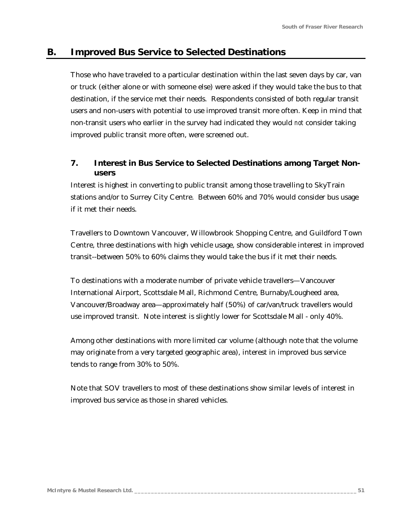# **B. Improved Bus Service to Selected Destinations**

Those who have traveled to a particular destination within the last seven days by car, van or truck (either alone or with someone else) were asked if they would take the bus to that destination, if the service met their needs. Respondents consisted of both regular transit users and non-users with potential to use improved transit more often. Keep in mind that non-transit users who earlier in the survey had indicated they would *not* consider taking improved public transit more often, were screened out.

## *7. Interest in Bus Service to Selected Destinations among Target Nonusers*

Interest is highest in converting to public transit among those travelling to SkyTrain stations and/or to Surrey City Centre. Between 60% and 70% would consider bus usage if it met their needs.

Travellers to Downtown Vancouver, Willowbrook Shopping Centre, and Guildford Town Centre, three destinations with high vehicle usage, show considerable interest in improved transit--between 50% to 60% claims they would take the bus if it met their needs.

To destinations with a moderate number of private vehicle travellers—Vancouver International Airport, Scottsdale Mall, Richmond Centre, Burnaby/Lougheed area, Vancouver/Broadway area—approximately half (50%) of car/van/truck travellers would use improved transit. Note interest is slightly lower for Scottsdale Mall - only 40%.

Among other destinations with more limited car volume (although note that the volume may originate from a very targeted geographic area), interest in improved bus service tends to range from 30% to 50%.

Note that SOV travellers to most of these destinations show similar levels of interest in improved bus service as those in shared vehicles.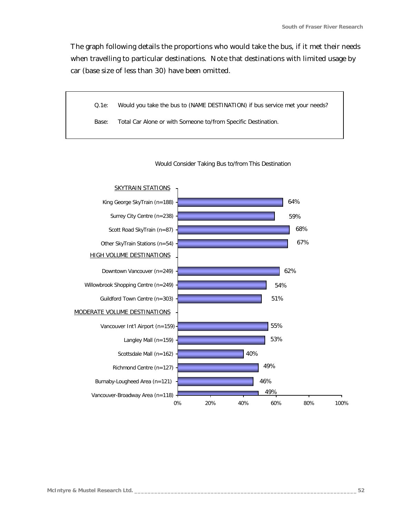The graph following details the proportions who would take the bus, if it met their needs when travelling to particular destinations. Note that destinations with limited usage by car (base size of less than 30) have been omitted.





Would Consider Taking Bus to/from This Destination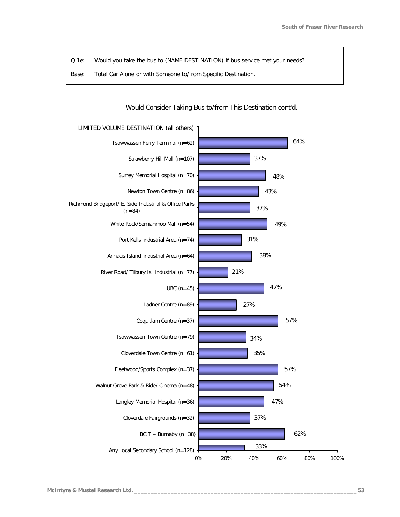- *Q.1e: Would you take the bus to (NAME DESTINATION) if bus service met your needs?*
- *Base: Total Car Alone or with Someone to/from Specific Destination.*

#### Would Consider Taking Bus to/from This Destination cont'd.

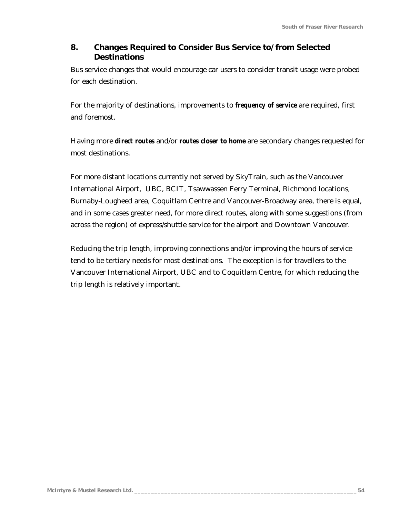## *8. Changes Required to Consider Bus Service to/from Selected Destinations*

Bus service changes that would encourage car users to consider transit usage were probed for each destination.

For the majority of destinations, improvements to *frequency of service* are required, first and foremost.

Having more *direct routes* and/or *routes closer to home* are secondary changes requested for most destinations.

For more distant locations currently not served by SkyTrain, such as the Vancouver International Airport, UBC, BCIT, Tsawwassen Ferry Terminal, Richmond locations, Burnaby-Lougheed area, Coquitlam Centre and Vancouver-Broadway area, there is equal, and in some cases greater need, for more direct routes, along with some suggestions (from across the region) of express/shuttle service for the airport and Downtown Vancouver.

Reducing the trip length, improving connections and/or improving the hours of service tend to be tertiary needs for most destinations. The exception is for travellers to the Vancouver International Airport, UBC and to Coquitlam Centre, for which reducing the trip length is relatively important.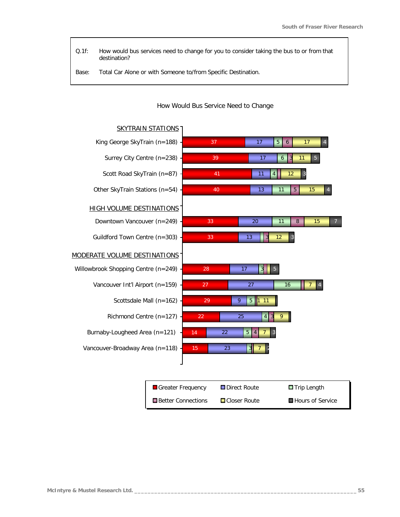*Q.1f: How would bus services need to change for you to consider taking the bus to or from that destination?*

*Base: Total Car Alone or with Someone to/from Specific Destination.*



#### How Would Bus Service Need to Change

| Greater Frequency    | <b>□</b> Direct Route | $\blacksquare$ Trip Length |
|----------------------|-----------------------|----------------------------|
| ■ Better Connections | ■Closer Route         | ■ Hours of Service         |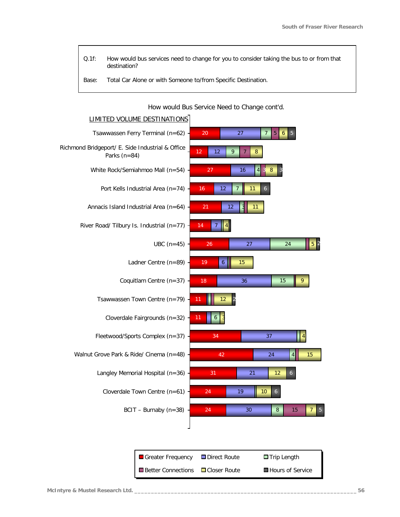- *Q.1f: How would bus services need to change for you to consider taking the bus to or from that destination?*
- *Base: Total Car Alone or with Someone to/from Specific Destination.*

How would Bus Service Need to Change cont'd.



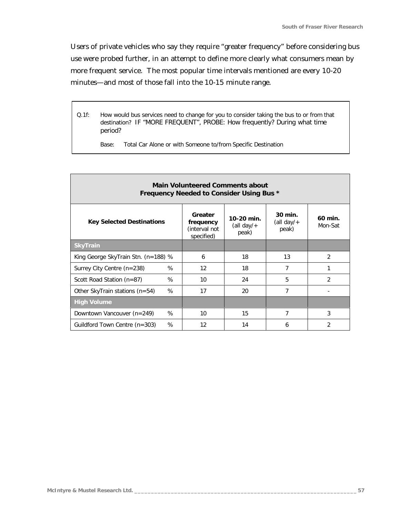Users of private vehicles who say they require "greater frequency" before considering bus use were probed further, in an attempt to define more clearly what consumers mean by more frequent service. The most popular time intervals mentioned are every 10-20 minutes—and most of those fall into the 10-15 minute range.

*Q.1f: How would bus services need to change for you to consider taking the bus to or from that destination? IF "MORE FREQUENT", PROBE: How frequently? During what time period?*

*Base: Total Car Alone or with Someone to/from Specific Destination*

| <b>Main Volunteered Comments about</b><br>Frequency Needed to Consider Using Bus * |                                                     |                                      |                                   |                    |  |
|------------------------------------------------------------------------------------|-----------------------------------------------------|--------------------------------------|-----------------------------------|--------------------|--|
| <b>Key Selected Destinations</b>                                                   | Greater<br>frequency<br>(interval not<br>specified) | 10-20 min.<br>(all day/ $+$<br>peak) | 30 min.<br>(all day/ $+$<br>peak) | 60 min.<br>Mon-Sat |  |
| <b>SkyTrain</b>                                                                    |                                                     |                                      |                                   |                    |  |
| King George SkyTrain Stn. $(n=188)$ %                                              | 6                                                   | 18                                   | 13                                | $\mathcal{P}$      |  |
| %<br>Surrey City Centre (n=238)                                                    | 12                                                  | 18                                   | 7                                 | 1                  |  |
| %<br>Scott Road Station $(n=87)$                                                   | 10                                                  | 24                                   | 5                                 | $\overline{2}$     |  |
| %<br>Other SkyTrain stations $(n=54)$                                              | 17                                                  | 20                                   | $\overline{7}$                    |                    |  |
| <b>High Volume</b>                                                                 |                                                     |                                      |                                   |                    |  |
| %<br>Downtown Vancouver (n=249)                                                    | 10                                                  | 15                                   | 7                                 | 3                  |  |
| %<br>Guildford Town Centre (n=303)                                                 | 12                                                  | 14                                   | 6                                 | $\overline{2}$     |  |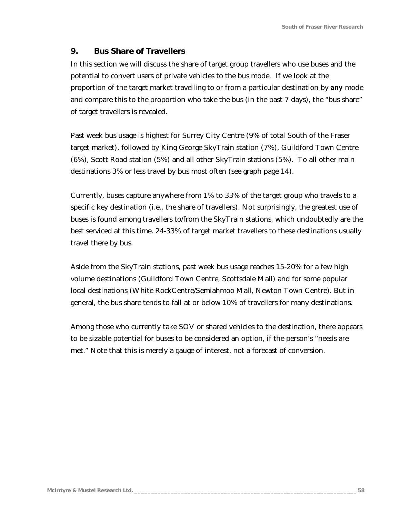### *9. Bus Share of Travellers*

In this section we will discuss the share of target group travellers who use buses and the potential to convert users of private vehicles to the bus mode. If we look at the proportion of the target market travelling to or from a particular destination by *any* mode and compare this to the proportion who take the bus (in the past 7 days), the "bus share" of target travellers is revealed.

Past week bus usage is highest for Surrey City Centre (9% of total South of the Fraser target market), followed by King George SkyTrain station (7%), Guildford Town Centre (6%), Scott Road station (5%) and all other SkyTrain stations (5%). To all other main destinations 3% or less travel by bus most often (see graph page 14).

Currently, buses capture anywhere from 1% to 33% of the target group who travels to a specific key destination (i.e., the share of travellers). Not surprisingly, the greatest use of buses is found among travellers to/from the SkyTrain stations, which undoubtedly are the best serviced at this time. 24-33% of target market travellers to these destinations usually travel there by bus.

Aside from the SkyTrain stations, past week bus usage reaches 15-20% for a few high volume destinations (Guildford Town Centre, Scottsdale Mall) and for some popular local destinations (White RockCentre/Semiahmoo Mall, Newton Town Centre). But in general, the bus share tends to fall at or below 10% of travellers for many destinations.

Among those who currently take SOV or shared vehicles to the destination, there appears to be sizable potential for buses to be considered an option, if the person's "needs are met." Note that this is merely a gauge of interest, not a forecast of conversion.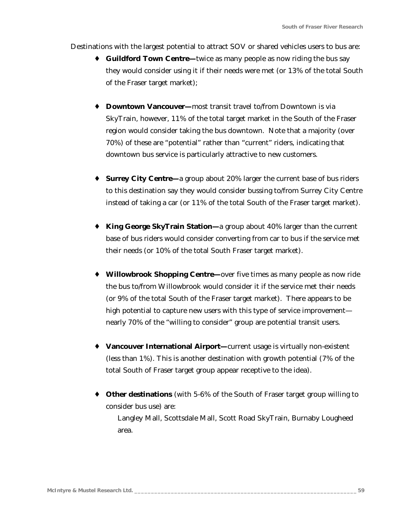Destinations with the largest potential to attract SOV or shared vehicles users to bus are:

- **Guildford Town Centre—**twice as many people as now riding the bus say they would consider using it if their needs were met (or 13% of the total South of the Fraser target market);
- ♦ **Downtown Vancouver—**most transit travel to/from Downtown is via SkyTrain, however, 11% of the total target market in the South of the Fraser region would consider taking the bus downtown. Note that a majority (over 70%) of these are "potential" rather than "current" riders, indicating that downtown bus service is particularly attractive to new customers.
- ♦ **Surrey City Centre—**a group about 20% larger the current base of bus riders to this destination say they would consider bussing to/from Surrey City Centre instead of taking a car (or 11% of the total South of the Fraser target market).
- ♦ **King George SkyTrain Station—**a group about 40% larger than the current base of bus riders would consider converting from car to bus if the service met their needs (or 10% of the total South Fraser target market).
- ♦ **Willowbrook Shopping Centre—**over five times as many people as now ride the bus to/from Willowbrook would consider it if the service met their needs (or 9% of the total South of the Fraser target market). There appears to be high potential to capture new users with this type of service improvement nearly 70% of the "willing to consider" group are potential transit users.
- ♦ **Vancouver International Airport—**current usage is virtually non-existent (less than 1%). This is another destination with growth potential (7% of the total South of Fraser target group appear receptive to the idea).
- ♦ **Other destinations** (with 5-6% of the South of Fraser target group willing to consider bus use) are:

Langley Mall, Scottsdale Mall, Scott Road SkyTrain, Burnaby Lougheed area.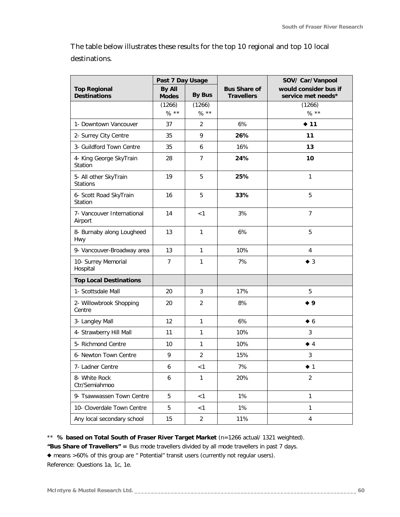The table below illustrates these results for the top 10 regional and top 10 local destinations.

|                                            | Past 7 Day Usage       |                   |                                          | SOV/ Car/Vanpool                            |  |
|--------------------------------------------|------------------------|-------------------|------------------------------------------|---------------------------------------------|--|
| <b>Top Regional</b><br><b>Destinations</b> | By All<br><b>Modes</b> | <b>By Bus</b>     | <b>Bus Share of</b><br><b>Travellers</b> | would consider bus if<br>service met needs* |  |
|                                            | (1266)<br>$% * *$      | (1266)<br>$% * *$ |                                          | (1266)<br>$% * *$                           |  |
| 1- Downtown Vancouver                      | 37                     | 2                 | 6%                                       | $\div$ 11                                   |  |
| 2- Surrey City Centre                      | 35                     | 9                 | 26%                                      | 11                                          |  |
| 3- Guildford Town Centre                   | 35                     | 6                 | 16%                                      | 13                                          |  |
| 4- King George SkyTrain<br>Station         | 28                     | $\overline{7}$    | 24%                                      | 10                                          |  |
| 5- All other SkyTrain<br><b>Stations</b>   | 19                     | 5                 | 25%                                      | $\mathbf{1}$                                |  |
| 6- Scott Road SkyTrain<br>Station          | 16                     | 5                 | 33%                                      | 5                                           |  |
| 7- Vancouver International<br>Airport      | 14                     | <1                | 3%                                       | $\overline{7}$                              |  |
| 8- Burnaby along Lougheed<br>Hwy           | 13                     | $\mathbf{1}$      | 6%                                       | 5                                           |  |
| 9- Vancouver-Broadway area                 | 13                     | $\mathbf{1}$      | 10%                                      | $\overline{4}$                              |  |
| 10- Surrey Memorial<br>Hospital            | $\overline{7}$         | $\mathbf{1}$      | 7%                                       | $\blacklozenge$ 3                           |  |
| <b>Top Local Destinations</b>              |                        |                   |                                          |                                             |  |
| 1- Scottsdale Mall                         | 20                     | 3                 | 17%                                      | 5                                           |  |
| 2- Willowbrook Shopping<br>Centre          | 20                     | $\overline{2}$    | 8%                                       | $\bullet$ 9                                 |  |
| 3- Langley Mall                            | 12                     | $\mathbf{1}$      | 6%                                       | $\bullet 6$                                 |  |
| 4- Strawberry Hill Mall                    | 11                     | $\mathbf{1}$      | 10%                                      | 3                                           |  |
| 5- Richmond Centre                         | 10                     | $\mathbf{1}$      | 10%                                      | $\blacklozenge$ 4                           |  |
| 6- Newton Town Centre                      | 9                      | 2                 | 15%                                      | 3                                           |  |
| 7- Ladner Centre                           | 6                      | < 1               | $7\%$                                    | $\blacklozenge$ 1                           |  |
| 8- White Rock<br>Ctr/Semiahmoo             | 6                      | $\mathbf{1}$      | 20%                                      | $\overline{2}$                              |  |
| 9- Tsawwassen Town Centre                  | 5                      | < 1               | 1%                                       | $\mathbf{1}$                                |  |
| 10- Cloverdale Town Centre                 | 5                      | < 1               | 1%                                       | $\mathbf{1}$                                |  |
| Any local secondary school                 | 15                     | $\overline{a}$    | 11%                                      | 4                                           |  |

\*\* *% based on Total South of Fraser River Target Market* (n=1266 actual/ 1321 weighted).

*"Bus Share of Travellers" =* Bus mode travellers divided by all mode travellers in past 7 days.

u means >60% of this group are " Potential" transit users (currently not regular users).

Reference: Questions 1a, 1c, 1e.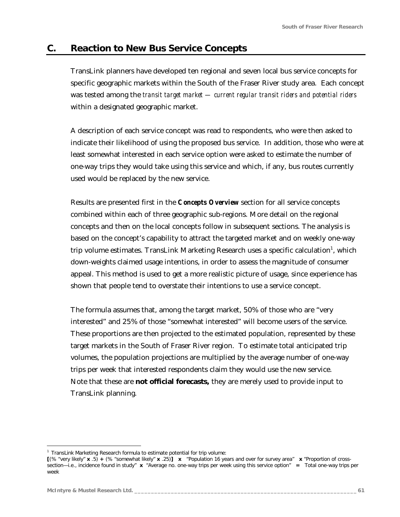# **C. Reaction to New Bus Service Concepts**

TransLink planners have developed ten regional and seven local bus service concepts for specific geographic markets within the South of the Fraser River study area. Each concept was tested among the *transit target market — current regular transit riders and potential riders* within a designated geographic market.

A description of each service concept was read to respondents, who were then asked to indicate their likelihood of using the proposed bus service. In addition, those who were at least somewhat interested in each service option were asked to estimate the number of one-way trips they would take using this service and which, if any, bus routes currently used would be replaced by the new service.

Results are presented first in the *Concepts Overview* section for all service concepts combined within each of three geographic sub-regions. More detail on the regional concepts and then on the local concepts follow in subsequent sections. The analysis is based on the concept's capability to attract the targeted market and on weekly one-way trip volume estimates. TransLink Marketing Research uses a specific calculation $^{\rm l}$ , which down-weights claimed usage intentions, in order to assess the magnitude of consumer appeal. This method is used to get a more realistic picture of usage, since experience has shown that people tend to overstate their intentions to use a service concept.

The formula assumes that, among the target market, 50% of those who are "very interested" and 25% of those "somewhat interested" will become users of the service. These proportions are then projected to the estimated population, represented by these target markets in the South of Fraser River region. To estimate total anticipated trip volumes, the population projections are multiplied by the average number of one-way trips per week that interested respondents claim they would use the new service. Note that these are **not official forecasts,** they are merely used to provide input to TransLink planning.

<u>.</u>

*<sup>1</sup> TransLink Marketing Research formula to estimate potential for trip volume:*

**<sup>[</sup>**(% "very likely" **x** .5) **+** (% "somewhat likely" **x** .25)**] x** "Population 16 years and over for survey area" **x** "Proportion of crosssection—i.e., incidence found in study" **x** "Average no. one-way trips per week using this service option" **=** Total one-way trips per week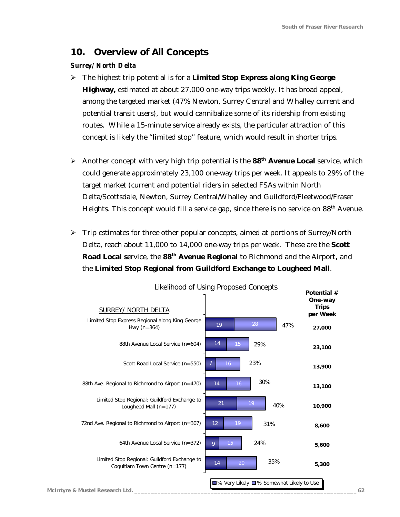# *10. Overview of All Concepts*

#### *Surrey/ North Delta*

- ÿ The highest trip potential is for a **Limited Stop Express along King George Highway,** estimated at about 27,000 one-way trips weekly. It has broad appeal, among the targeted market (47% Newton, Surrey Central and Whalley current and potential transit users), but would cannibalize some of its ridership from existing routes. While a 15-minute service already exists, the particular attraction of this concept is likely the "limited stop" feature, which would result in shorter trips.
- ÿ Another concept with very high trip potential is the **88th Avenue Local** service, which could generate approximately 23,100 one-way trips per week. It appeals to 29% of the target market (current and potential riders in selected FSAs within North Delta/Scottsdale, Newton, Surrey Central/Whalley and Guildford/Fleetwood/Fraser Heights. This concept would fill a service gap, since there is no service on 88<sup>th</sup> Avenue.
- $\triangleright$  Trip estimates for three other popular concepts, aimed at portions of Surrey/North Delta, reach about 11,000 to 14,000 one-way trips per week. These are the **Scott Road Local s**ervice, the **88th Avenue Regional** to Richmond and the Airport**,** and the **Limited Stop Regional from Guildford Exchange to Lougheed Mall**.

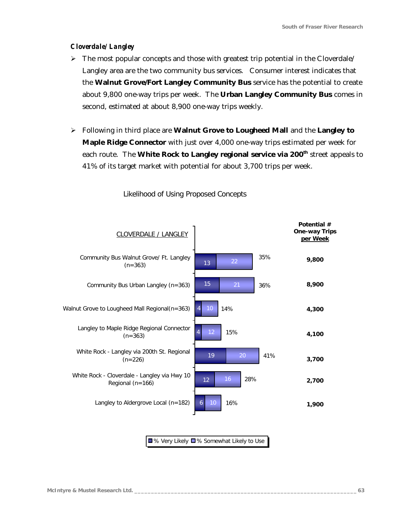#### *Cloverdale/ Langley*

- $\triangleright$  The most popular concepts and those with greatest trip potential in the Cloverdale/ Langley area are the two community bus services. Consumer interest indicates that the **Walnut Grove/Fort Langley Community Bus** service has the potential to create about 9,800 one-way trips per week. The **Urban Langley Community Bus** comes in second, estimated at about 8,900 one-way trips weekly.
- ÿ Following in third place are **Walnut Grove to Lougheed Mall** and the **Langley to Maple Ridge Connector** with just over 4,000 one-way trips estimated per week for each route. The **White Rock to Langley regional service via 200th** street appeals to 41% of its target market with potential for about 3,700 trips per week.



Likelihood of Using Proposed Concepts

■% Very Likely ■% Somewhat Likely to Use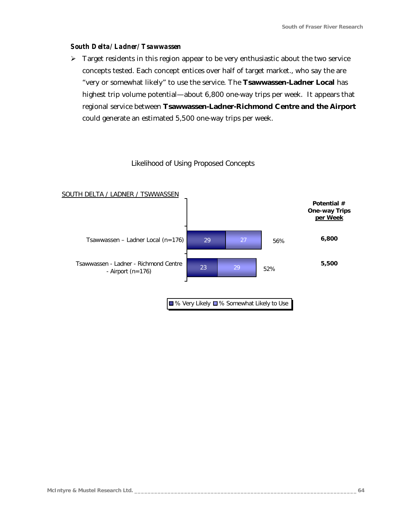#### *South Delta/ Ladner/ Tsawwassen*

 $\triangleright$  Target residents in this region appear to be very enthusiastic about the two service concepts tested. Each concept entices over half of target market., who say the are "very or somewhat likely" to use the service. The **Tsawwassen-Ladner Local** has highest trip volume potential—about 6,800 one-way trips per week. It appears that regional service between **Tsawwassen-Ladner-Richmond Centre and the Airport** could generate an estimated 5,500 one-way trips per week.

### Likelihood of Using Proposed Concepts

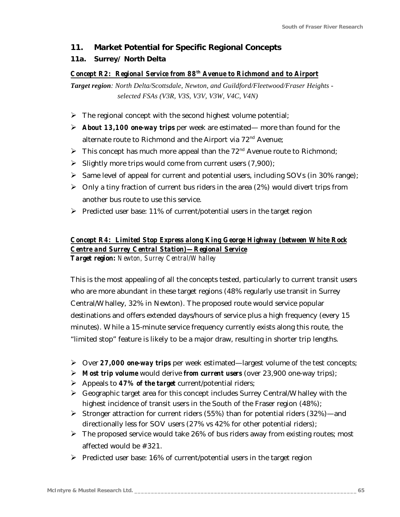### *11. Market Potential for Specific Regional Concepts*

### *11a. Surrey/ North Delta*

#### *Concept R2: Regional Service from 88th Avenue to Richmond and to Airport*

*Target region: North Delta/Scottsdale, Newton, and Guildford/Fleetwood/Fraser Heights selected FSAs (V3R, V3S, V3V, V3W, V4C, V4N)*

- $\triangleright$  The regional concept with the second highest volume potential;
- ÿ *About 13,100 one-way trips* per week are estimated— more than found for the alternate route to Richmond and the Airport via 72<sup>nd</sup> Avenue;
- $\triangleright$  This concept has much more appeal than the 72<sup>nd</sup> Avenue route to Richmond;
- $\triangleright$  Slightly more trips would come from current users (7,900);
- > Same level of appeal for current and potential users, including SOVs (in 30% range);
- $\triangleright$  Only a tiny fraction of current bus riders in the area (2%) would divert trips from another bus route to use this service.
- $\triangleright$  Predicted user base: 11% of current/potential users in the target region

# *Concept R4: Limited Stop Express along King George Highway (between White Rock Centre and Surrey Central Station)—Regional Service*

*Target region: Newton, Surrey Central/Whalley*

This is the most appealing of all the concepts tested, particularly to current transit users who are more abundant in these target regions (48% regularly use transit in Surrey Central/Whalley, 32% in Newton). The proposed route would service popular destinations and offers extended days/hours of service plus a high frequency (every 15 minutes). While a 15-minute service frequency currently exists along this route, the "limited stop" feature is likely to be a major draw, resulting in shorter trip lengths.

- ÿ Over *27,000 one-way trips* per week estimated—largest volume of the test concepts;
- ÿ *Most trip volume* would derive *from current users* (over 23,900 one-way trips);
- ÿ Appeals to *47% of the target* current/potential riders;
- $\triangleright$  Geographic target area for this concept includes Surrey Central/Whalley with the highest incidence of transit users in the South of the Fraser region (48%);
- $\triangleright$  Stronger attraction for current riders (55%) than for potential riders (32%)—and directionally less for SOV users (27% vs 42% for other potential riders);
- $\triangleright$  The proposed service would take 26% of bus riders away from existing routes; most affected would be #321.
- $\triangleright$  Predicted user base: 16% of current/potential users in the target region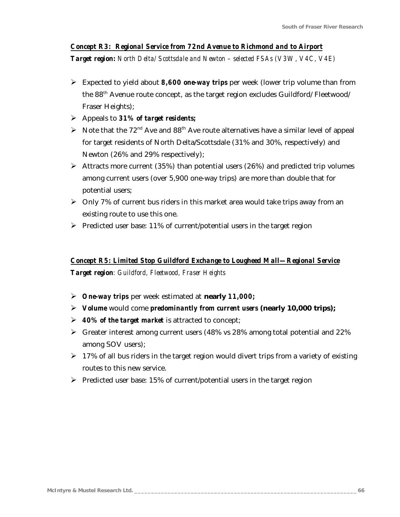### *Concept R3: Regional Service from 72nd Avenue to Richmond and to Airport*

*Target region: North Delta/ Scottsdale and Newton – selected FSAs (V3W, V4C, V4E)*

- ÿ Expected to yield about *8,600 one-way trips* per week (lower trip volume than from the 88<sup>th</sup> Avenue route concept, as the target region excludes Guildford/ Fleetwood/ Fraser Heights);
- ÿ Appeals to *31% of target residents;*
- $\triangleright$  Note that the 72<sup>nd</sup> Ave and 88<sup>th</sup> Ave route alternatives have a similar level of appeal for target residents of North Delta/Scottsdale (31% and 30%, respectively) and Newton (26% and 29% respectively);
- $\triangleright$  Attracts more current (35%) than potential users (26%) and predicted trip volumes among current users (over 5,900 one-way trips) are more than double that for potential users;
- $\triangleright$  Only 7% of current bus riders in this market area would take trips away from an existing route to use this one.
- $\triangleright$  Predicted user base: 11% of current/potential users in the target region

### *Concept R5: Limited Stop Guildford Exchange to Lougheed Mall—Regional Service*

*Target region: Guildford, Fleetwood, Fraser Heights*

- ÿ *One-way trips* per week estimated at **nearly** *11,000;*
- ÿ *Volume* would come *predominantly from current users* **(nearly 10,000 trips);**
- ÿ *40% of the target market* is attracted to concept;
- $\triangleright$  Greater interest among current users (48% vs 28% among total potential and 22%) among SOV users);
- $\geq 17\%$  of all bus riders in the target region would divert trips from a variety of existing routes to this new service.
- $\triangleright$  Predicted user base: 15% of current/potential users in the target region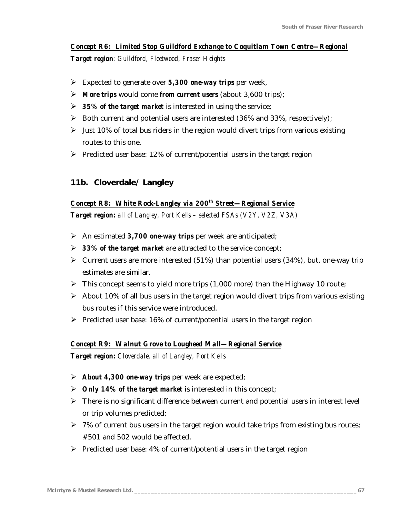### *Concept R6: Limited Stop Guildford Exchange to Coquitlam Town Centre—Regional*

*Target region: Guildford, Fleetwood, Fraser Heights*

- ÿ Expected to generate over *5,300 one-way trips* per week,
- ÿ *More trips* would come *from current users* (about 3,600 trips);
- ÿ *35% of the target market* is interested in using the service;
- $\triangleright$  Both current and potential users are interested (36% and 33%, respectively);
- $\triangleright$  Just 10% of total bus riders in the region would divert trips from various existing routes to this one.
- $\triangleright$  Predicted user base: 12% of current/potential users in the target region

### *11b. Cloverdale/ Langley*

#### *Concept R8: White Rock-Langley via 200th Street—Regional Service*

*Target region: all of Langley, Port Kells – selected FSAs (V2Y, V2Z, V3A)*

- ÿ An estimated *3,700 one-way trips* per week are anticipated;
- > 33% of the target market are attracted to the service concept;
- $\triangleright$  Current users are more interested (51%) than potential users (34%), but, one-way trip estimates are similar.
- $\triangleright$  This concept seems to yield more trips (1,000 more) than the Highway 10 route;
- $\triangleright$  About 10% of all bus users in the target region would divert trips from various existing bus routes if this service were introduced.
- $\triangleright$  Predicted user base: 16% of current/potential users in the target region

#### *Concept R9: Walnut Grove to Lougheed Mall—Regional Service*

*Target region: Cloverdale, all of Langley, Port Kells*

- ÿ *About 4,300 one-way trips* per week are expected;
- ÿ *Only 14% of the target market* is interested in this concept;
- $\triangleright$  There is no significant difference between current and potential users in interest level or trip volumes predicted;
- $\triangleright$  7% of current bus users in the target region would take trips from existing bus routes; #501 and 502 would be affected.
- $\triangleright$  Predicted user base: 4% of current/potential users in the target region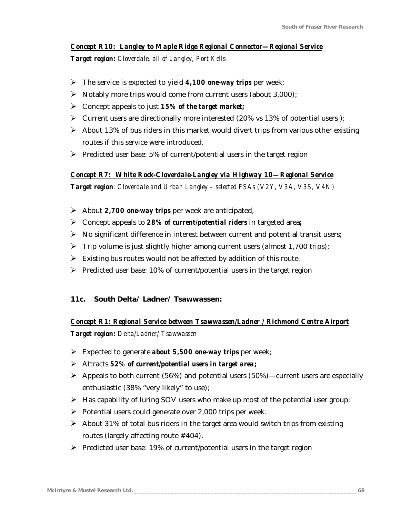#### *Concept R10: Langley to Maple Ridge Regional Connector—Regional Service*

*Target region: Cloverdale, all of Langley, Port Kells*

- ÿ The service is expected to yield *4,100 one-way trips* per week;
- $\triangleright$  Notably more trips would come from current users (about 3,000);
- ÿ Concept appeals to just *15% of the target market;*
- $\triangleright$  Current users are directionally more interested (20% vs 13% of potential users);
- $\triangleright$  About 13% of bus riders in this market would divert trips from various other existing routes if this service were introduced.
- $\triangleright$  Predicted user base: 5% of current/potential users in the target region

#### *Concept R7: White Rock-Cloverdale-Langley via Highway 10—Regional Service*

*Target region: Cloverdale and Urban Langley – selected FSAs (V2Y, V3A, V3S, V4N)*

- ÿ About *2,700 one-way trips* per week are anticipated,
- ÿ Concept appeals to *28% of current/potential riders* in targeted area*;*
- $\triangleright$  No significant difference in interest between current and potential transit users;
- $\triangleright$  Trip volume is just slightly higher among current users (almost 1,700 trips);
- $\triangleright$  Existing bus routes would not be affected by addition of this route.
- $\triangleright$  Predicted user base: 10% of current/potential users in the target region

#### *11c. South Delta/ Ladner/ Tsawwassen:*

### *Concept R1: Regional Service between Tsawwassen/Ladner / Richmond Centre Airport*

*Target region: Delta/Ladner/ Tsawwassen*

- ÿ Expected to generate *about 5,500 one-way trips* per week;
- ÿ Attracts *52% of current/potential users in target area***;**
- $\triangleright$  Appeals to both current (56%) and potential users (50%)—current users are especially enthusiastic (38% "very likely" to use);
- $\triangleright$  Has capability of luring SOV users who make up most of the potential user group;
- $\triangleright$  Potential users could generate over 2,000 trips per week.
- $\triangleright$  About 31% of total bus riders in the target area would switch trips from existing routes (largely affecting route #404).
- $\triangleright$  Predicted user base: 19% of current/potential users in the target region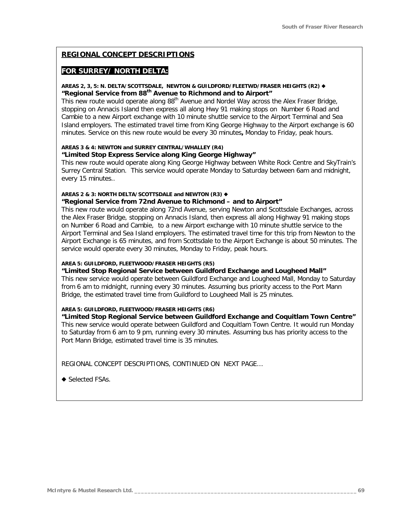#### **REGIONAL CONCEPT DESCRIPTIONS**

#### **FOR SURREY/ NORTH DELTA:**

#### AREAS 2, 3, 5: N. DELTA/SCOTTSDALE, NEWTON & GUILDFORD/FLEETWD/FRASER HEIGHTS (R2) ♦ **"Regional Service from 88th Avenue to Richmond and to Airport"**

*This new route would operate along 88th Avenue and Nordel Way across the Alex Fraser Bridge, stopping on Annacis Island then express all along Hwy 91 making stops on Number 6 Road and Cambie to a new Airport exchange with 10 minute shuttle service to the Airport Terminal and Sea Island employers. The estimated travel time from King George Highway to the Airport exchange is 60 minutes. Service on this new route would be every 30 minutes, Monday to Friday, peak hours.*

#### **AREAS 3 & 4: NEWTON and SURREY CENTRAL/WHALLEY (R4) "Limited Stop Express Service along King George Highway"**

*This new route would operate along King George Highway between White Rock Centre and SkyTrain's Surrey Central Station. This service would operate Monday to Saturday between 6am and midnight, every 15 minutes..*

### **AREAS 2 & 3: NORTH DELTA/SCOTTSDALE and NEWTON (R3) ♦**

#### **"Regional Service from 72nd Avenue to Richmond – and to Airport"**

*This new route would operate along 72nd Avenue, serving Newton and Scottsdale Exchanges, across the Alex Fraser Bridge, stopping on Annacis Island, then express all along Highway 91 making stops on Number 6 Road and Cambie, to a new Airport exchange with 10 minute shuttle service to the Airport Terminal and Sea Island employers. The estimated travel time for this trip from Newton to the Airport Exchange is 65 minutes, and from Scottsdale to the Airport Exchange is about 50 minutes. The service would operate every 30 minutes, Monday to Friday, peak hours.*

#### **AREA 5: GUILDFORD, FLEETWOOD/FRASER HEIGHTS (R5)**

#### **"Limited Stop Regional Service between Guildford Exchange and Lougheed Mall"**

*This new service would operate between Guildford Exchange and Lougheed Mall, Monday to Saturday from 6 am to midnight, running every 30 minutes. Assuming bus priority access to the Port Mann Bridge, the estimated travel time from Guildford to Lougheed Mall is 25 minutes.*

#### **AREA 5: GUILDFORD, FLEETWOOD/FRASER HEIGHTS (R6)**

**"Limited Stop Regional Service between Guildford Exchange and Coquitlam Town Centre"** *This new service would operate between Guildford and Coquitlam Town Centre. It would run Monday to Saturday from 6 am to 9 pm, running every 30 minutes. Assuming bus has priority access to the Port Mann Bridge, estimated travel time is 35 minutes.* 

*REGIONAL CONCEPT DESCRIPTIONS, CONTINUED ON NEXT PAGE…*

◆ Selected FSAs.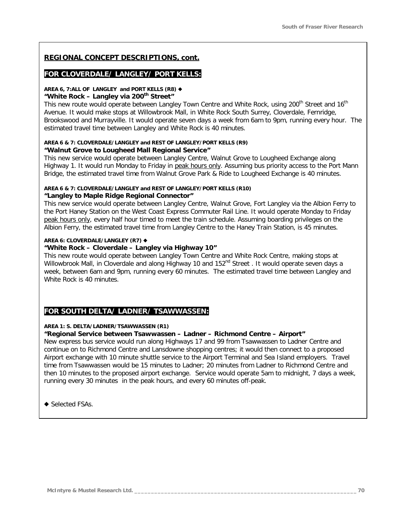### **REGIONAL CONCEPT DESCRIPTIONS, cont.**

### **FOR CLOVERDALE/ LANGLEY/ PORT KELLS:**

# AREA 6, 7:ALL OF LANGLEY and PORT KELLS (R8) ♦

#### **"White Rock – Langley via 200th Street"**

*This new route would operate between Langley Town Centre and White Rock, using 200th Street and 16th Avenue. It would make stops at Willowbrook Mall, in White Rock South Surrey, Cloverdale, Fernridge, Brookswood and Murrayville. It would operate seven days a week from 6am to 9pm, running every hour. The estimated travel time between Langley and White Rock is 40 minutes.*

#### **AREA 6 & 7: CLOVERDALE/LANGLEY and REST OF LANGLEY/PORT KELLS (R9) "Walnut Grove to Lougheed Mall Regional Service"**

*This new service would operate between Langley Centre, Walnut Grove to Lougheed Exchange along Highway 1. It would run Monday to Friday in peak hours only. Assuming bus priority access to the Port Mann Bridge, the estimated travel time from Walnut Grove Park & Ride to Lougheed Exchange is 40 minutes.*

#### **AREA 6 & 7: CLOVERDALE/LANGLEY and REST OF LANGLEY/PORT KELLS (R10) "Langley to Maple Ridge Regional Connector"**

*This new service would operate between Langley Centre, Walnut Grove, Fort Langley via the Albion Ferry to the Port Haney Station on the West Coast Express Commuter Rail Line. It would operate Monday to Friday peak hours only, every half hour timed to meet the train schedule. Assuming boarding privileges on the Albion Ferry, the estimated travel time from Langley Centre to the Haney Train Station, is 45 minutes.*

#### **AREA 6: CLOVERDALE/LANGLEY (R7) ♦**

#### **"White Rock – Cloverdale – Langley via Highway 10"**

*This new route would operate between Langley Town Centre and White Rock Centre, making stops at Willowbrook Mall, in Cloverdale and along Highway 10 and 152nd Street . It would operate seven days a week, between 6am and 9pm, running every 60 minutes. The estimated travel time between Langley and White Rock is 40 minutes.*

### **FOR SOUTH DELTA/ LADNER/ TSAWWASSEN:**

#### **AREA 1: S. DELTA/LADNER/TSAWWASSEN (R1)**

#### **"Regional Service between Tsawwassen – Ladner – Richmond Centre – Airport"**

*New express bus service would run along Highways 17 and 99 from Tsawwassen to Ladner Centre and continue on to Richmond Centre and Lansdowne shopping centres; it would then connect to a proposed Airport exchange with 10 minute shuttle service to the Airport Terminal and Sea Island employers. Travel time from Tsawwassen would be 15 minutes to Ladner; 20 minutes from Ladner to Richmond Centre and then 10 minutes to the proposed airport exchange. Service would operate 5am to midnight, 7 days a week, running every 30 minutes in the peak hours, and every 60 minutes off-peak.*

 $\triangle$  Selected FSAs.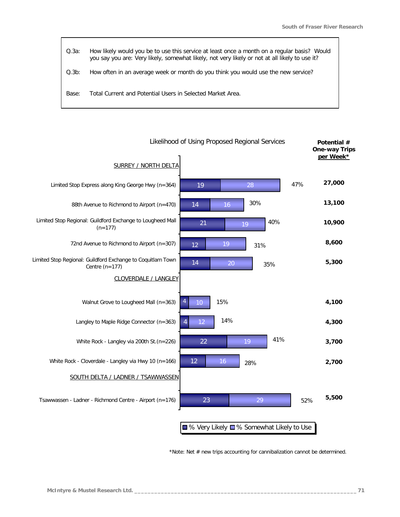*Q.3a: How likely would you be to use this service at least once a month on a regular basis? Would you say you are: Very likely, somewhat likely, not very likely or not at all likely to use it? Q.3b: How often in an average week or month do you think you would use the new service? Base: Total Current and Potential Users in Selected Market Area.*



*\*Note: Net # new trips accounting for cannibalization cannot be determined.*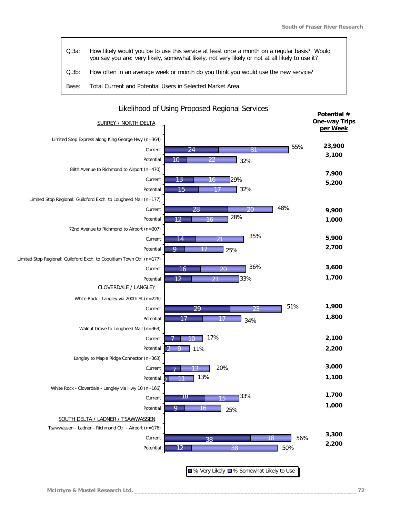| Q.3a: | How likely would you be to use this service at least once a month on a regular basis? Would<br>you say you are: very likely, somewhat likely, not very likely or not at all likely to use it? |
|-------|-----------------------------------------------------------------------------------------------------------------------------------------------------------------------------------------------|
| Q.3b: | How often in an average week or month do you think you would use the new service?                                                                                                             |
| Base: | Total Current and Potential Users in Selected Market Area.                                                                                                                                    |

| <b>SURREY / NORTH DELTA</b>                                           |                            | Potential #<br><b>One-way Trips</b><br>per Week |
|-----------------------------------------------------------------------|----------------------------|-------------------------------------------------|
| Limited Stop Express along King George Hwy (n=364)                    |                            |                                                 |
| Current                                                               | 55%<br>24<br>31            | 23,900                                          |
| Potential                                                             | 10<br>22<br>32%            | 3,100                                           |
| 88th Avenue to Richmond to Airport (n=470)                            |                            | 7,900                                           |
| Current                                                               | 13<br>29%<br>16            | 5,200                                           |
| Potential                                                             | 32%<br>15                  |                                                 |
| Limited Stop Regional: Guildford Exch. to Lougheed Mall (n=177)       |                            |                                                 |
| Current                                                               | 48%<br>28<br>20            | 9,900                                           |
| Potential                                                             | 28%<br>12<br>16            | 1,000                                           |
| 72nd Avenue to Richmond to Airport (n=307)                            |                            |                                                 |
| Current                                                               | 35%<br>14                  | 5,900                                           |
| Potential                                                             | 9<br>25%                   | 2,700                                           |
| Limited Stop Regional: Guildford Exch. to Coquitlam Town Ctr. (n=177) |                            |                                                 |
| Current                                                               | 36%<br>16<br>20            | 3,600                                           |
| Potential                                                             | 12<br>33%<br>21            | 1,700                                           |
| CLOVERDALE / LANGLEY                                                  |                            |                                                 |
| White Rock - Langley via 200th St. (n=226)                            |                            |                                                 |
| Current                                                               | 51%<br>29<br>23            | 1,900                                           |
| Potential                                                             | 17<br>34%                  | 1,800                                           |
| Walnut Grove to Lougheed Mall (n=363)                                 |                            |                                                 |
| Current                                                               | 17%                        | 2,100                                           |
| Potential                                                             | $\overline{2}$<br>11%<br>Q | 2,200                                           |
| Langley to Maple Ridge Connector (n=363)                              |                            |                                                 |
| Current                                                               | 20%                        | 3,000                                           |
| Potential                                                             | 13%                        | 1,100                                           |
| White Rock - Cloverdale - Langley via Hwy 10 (n=166)                  |                            | 1,700                                           |
| Current                                                               | 33%<br>18<br>15            |                                                 |
| Potential                                                             | 9<br>16<br>25%             | 1,000                                           |
| SOUTH DELTA / LADNER / TSAWWASSEN                                     |                            |                                                 |
| Tsawwassen - Ladner - Richmond Ctr. - Airport (n=176)                 |                            |                                                 |
| Current                                                               | 56%<br>18<br>38            | 3,300<br>2,200                                  |
| Potential                                                             | 50%<br>38<br>2             |                                                 |
|                                                                       |                            |                                                 |

### Likelihood of Using Proposed Regional Services

■% Very Likely ■% Somewhat Likely to Use